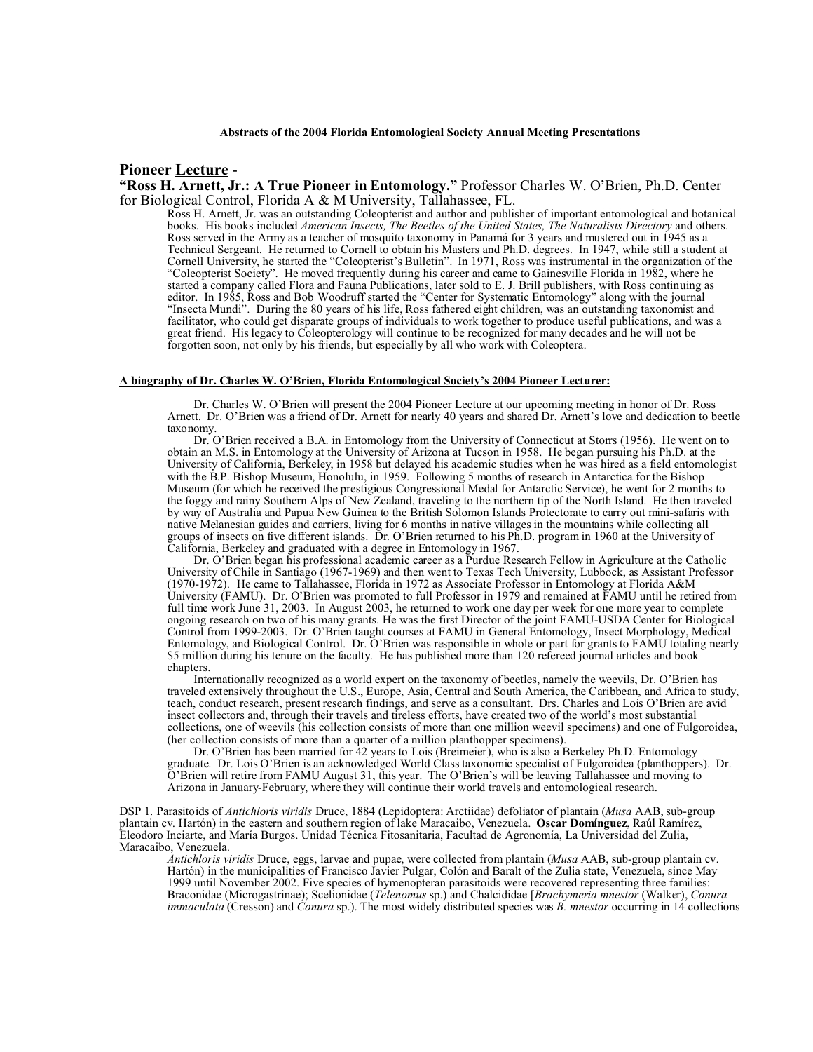## **Pioneer Lecture** -

**"Ross H. Arnett, Jr.: A True Pioneer in Entomology."** Professor Charles W. O'Brien, Ph.D. Center for Biological Control, Florida A & M University, Tallahassee, FL.

Ross H. Arnett, Jr. was an outstanding Coleopterist and author and publisher of important entomological and botanical books. His books included *American Insects, The Beetles of the United States, The Naturalists Directory* and others. Ross served in the Army as a teacher of mosquito taxonomy in Panamá for 3 years and mustered out in 1945 as a Technical Sergeant. He returned to Cornell to obtain his Masters and Ph.D. degrees. In 1947, while still a student at Cornell University, he started the "Coleopterist's Bulletin". In 1971, Ross was instrumental in the organization of the "Coleopterist Society". He moved frequently during his career and came to Gainesville Florida in 1982, where he started a company called Flora and Fauna Publications, later sold to E. J. Brill publishers, with Ross continuing as editor. In 1985, Ross and Bob Woodruff started the "Center for Systematic Entomology" along with the journal "Insecta Mundi". During the 80 years of his life, Ross fathered eight children, was an outstanding taxonomist and facilitator, who could get disparate groups of individuals to work together to produce useful publications, and was a great friend. His legacy to Coleopterology will continue to be recognized for many decades and he will not be forgotten soon, not only by his friends, but especially by all who work with Coleoptera.

## **A biography of Dr. Charles W. O'Brien, Florida Entomological Society's 2004 Pioneer Lecturer:**

Dr. Charles W. O'Brien will present the 2004 Pioneer Lecture at our upcoming meeting in honor of Dr. Ross Arnett. Dr. O'Brien was a friend of Dr. Arnett for nearly 40 years and shared Dr. Arnett's love and dedication to beetle taxonomy.

Dr. O'Brien received a B.A. in Entomology from the University of Connecticut at Storrs (1956). He went on to obtain an M.S. in Entomology at the University of Arizona at Tucson in 1958. He began pursuing his Ph.D. at the University of California, Berkeley, in 1958 but delayed his academic studies when he was hired as a field entomologist with the B.P. Bishop Museum, Honolulu, in 1959. Following 5 months of research in Antarctica for the Bishop Museum (for which he received the prestigious Congressional Medal for Antarctic Service), he went for 2 months to the foggy and rainy Southern Alps of New Zealand, traveling to the northern tip of the North Island. He then traveled by way of Australia and Papua New Guinea to the British Solomon Islands Protectorate to carry out mini-safaris with native Melanesian guides and carriers, living for 6 months in native villages in the mountains while collecting all groups of insects on five different islands. Dr. O'Brien returned to his Ph.D. program in 1960 at the University of California, Berkeley and graduated with a degree in Entomology in 1967.

Dr. O'Brien began his professional academic career as a Purdue Research Fellow in Agriculture at the Catholic University of Chile in Santiago (1967-1969) and then went to Texas Tech University, Lubbock, as Assistant Professor (1970-1972). He came to Tallahassee, Florida in 1972 as Associate Professor in Entomology at Florida A&M University (FAMU). Dr. O'Brien was promoted to full Professor in 1979 and remained at FAMU until he retired from full time work June 31, 2003. In August 2003, he returned to work one day per week for one more year to complete ongoing research on two of his many grants. He was the first Director of the joint FAMU-USDA Center for Biological Control from 1999-2003. Dr. O'Brien taught courses at FAMU in General Entomology, Insect Morphology, Medical Entomology, and Biological Control. Dr. O'Brien was responsible in whole or part for grants to FAMU totaling nearly \$5 million during his tenure on the faculty. He has published more than 120 refereed journal articles and book chapters.

Internationally recognized as a world expert on the taxonomy of beetles, namely the weevils, Dr. O'Brien has traveled extensively throughout the U.S., Europe, Asia, Central and South America, the Caribbean, and Africa to study, teach, conduct research, present research findings, and serve as a consultant. Drs. Charles and Lois O'Brien are avid insect collectors and, through their travels and tireless efforts, have created two of the world's most substantial collections, one of weevils (his collection consists of more than one million weevil specimens) and one of Fulgoroidea, (her collection consists of more than a quarter of a million planthopper specimens).

Dr. O'Brien has been married for 42 years to Lois (Breimeier), who is also a Berkeley Ph.D. Entomology graduate. Dr. Lois O'Brien is an acknowledged World Class taxonomic specialist of Fulgoroidea (planthoppers). Dr. O'Brien will retire from FAMU August 31, this year. The O'Brien's will be leaving Tallahassee and moving to Arizona in January-February, where they will continue their world travels and entomological research.

DSP 1. Parasitoids of *Antichloris viridis* Druce, 1884 (Lepidoptera: Arctiidae) defoliator of plantain (*Musa* AAB, sub-group plantain cv. Hartón) in the eastern and southern region of lake Maracaibo, Venezuela. **Oscar Domínguez**, Raúl Ramírez, Eleodoro Inciarte, and María Burgos. Unidad Técnica Fitosanitaria, Facultad de Agronomía, La Universidad del Zulia, Maracaibo, Venezuela.

*Antichloris viridis* Druce, eggs, larvae and pupae, were collected from plantain (*Musa* AAB, sub-group plantain cv. Hartón) in the municipalities of Francisco Javier Pulgar, Colón and Baralt of the Zulia state, Venezuela, since May 1999 until November 2002. Five species of hymenopteran parasitoids were recovered representing three families: Braconidae (Microgastrinae); Scelionidae (*Telenomus* sp.) and Chalcididae [*Brachymeria mnestor* (Walker), *Conura immaculata* (Cresson) and *Conura* sp.). The most widely distributed species was *B. mnestor* occurring in 14 collections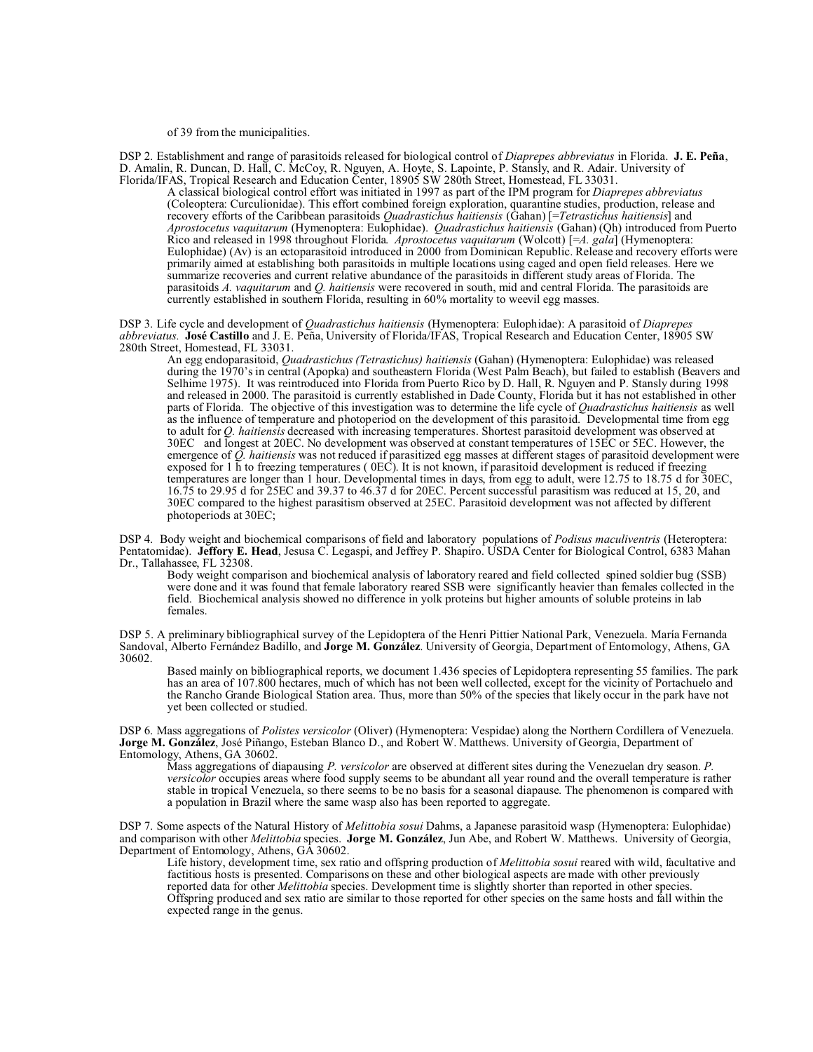of 39 from the municipalities.

DSP 2. Establishment and range of parasitoids released for biological control of *Diaprepes abbreviatus* in Florida. **J. E. Peña**, D. Amalin, R. Duncan, D. Hall, C. McCoy, R. Nguyen, A. Hoyte, S. Lapointe, P. Stansly, and R. Adair. University of Florida/IFAS, Tropical Research and Education Center, 18905 SW 280th Street, Homestead, FL 33031.

A classical biological control effort was initiated in 1997 as part of the IPM program for *Diaprepes abbreviatus* (Coleoptera: Curculionidae). This effort combined foreign exploration, quarantine studies, production, release and recovery efforts of the Caribbean parasitoids *Quadrastichus haitiensis* (Gahan) [=*Tetrastichus haitiensis*] and *Aprostocetus vaquitarum* (Hymenoptera: Eulophidae). *Quadrastichus haitiensis* (Gahan) (Qh) introduced from Puerto Rico and released in 1998 throughout Florida. *Aprostocetus vaquitarum* (Wolcott) [=*A. gala*] (Hymenoptera: Eulophidae) (Av) is an ectoparasitoid introduced in 2000 from Dominican Republic. Release and recovery efforts were primarily aimed at establishing both parasitoids in multiple locations using caged and open field releases. Here we summarize recoveries and current relative abundance of the parasitoids in different study areas of Florida. The parasitoids *A. vaquitarum* and *Q. haitiensis* were recovered in south, mid and central Florida. The parasitoids are currently established in southern Florida, resulting in 60% mortality to weevil egg masses.

DSP 3. Life cycle and development of *Quadrastichus haitiensis* (Hymenoptera: Eulophidae): A parasitoid of *Diaprepes abbreviatus.* **José Castillo** and J. E. Peña, University of Florida/IFAS, Tropical Research and Education Center, 18905 SW 280th Street, Homestead, FL 33031.

An egg endoparasitoid, *Quadrastichus (Tetrastichus) haitiensis* (Gahan) (Hymenoptera: Eulophidae) was released during the 1970's in central (Apopka) and southeastern Florida (West Palm Beach), but failed to establish (Beavers and Selhime 1975). It was reintroduced into Florida from Puerto Rico by D. Hall, R. Nguyen and P. Stansly during 1998 and released in 2000. The parasitoid is currently established in Dade County, Florida but it has not established in other parts of Florida. The objective of this investigation was to determine the life cycle of *Quadrastichus haitiensis* as well as the influence of temperature and photoperiod on the development of this parasitoid. Developmental time from egg to adult for *Q. haitiensis* decreased with increasing temperatures. Shortest parasitoid development was observed at 30EC and longest at 20EC. No development was observed at constant temperatures of 15EC or 5EC. However, the emergence of *Q. haitiensis* was not reduced if parasitized egg masses at different stages of parasitoid development were exposed for 1 h to freezing temperatures (  $0EC$ ). It is not known, if parasitoid development is reduced if freezing temperatures are longer than 1 hour. Developmental times in days, from egg to adult, were 12.75 to 18.75 d for 30EC, 16.75 to 29.95 d for 25EC and 39.37 to 46.37 d for 20EC. Percent successful parasitism was reduced at 15, 20, and 30EC compared to the highest parasitism observed at 25EC. Parasitoid development was not affected by different photoperiods at 30EC;

DSP 4. Body weight and biochemical comparisons of field and laboratory populations of *Podisus maculiventris* (Heteroptera: Pentatomidae). **Jeffory E. Head**, Jesusa C. Legaspi, and Jeffrey P. Shapiro. USDA Center for Biological Control, 6383 Mahan Dr., Tallahassee, FL 32308.

Body weight comparison and biochemical analysis of laboratory reared and field collected spined soldier bug (SSB) were done and it was found that female laboratory reared SSB were significantly heavier than females collected in the field. Biochemical analysis showed no difference in yolk proteins but higher amounts of soluble proteins in lab females.

DSP 5. A preliminary bibliographical survey of the Lepidoptera of the Henri Pittier National Park, Venezuela. María Fernanda Sandoval, Alberto Fernández Badillo, and **Jorge M. González**. University of Georgia, Department of Entomology, Athens, GA 30602.

Based mainly on bibliographical reports, we document 1.436 species of Lepidoptera representing 55 families. The park has an area of 107.800 hectares, much of which has not been well collected, except for the vicinity of Portachuelo and the Rancho Grande Biological Station area. Thus, more than 50% of the species that likely occur in the park have not yet been collected or studied.

DSP 6. Mass aggregations of *Polistes versicolor* (Oliver) (Hymenoptera: Vespidae) along the Northern Cordillera of Venezuela. **Jorge M. González**, José Piñango, Esteban Blanco D., and Robert W. Matthews. University of Georgia, Department of Entomology, Athens, GA 30602.

Mass aggregations of diapausing *P. versicolor* are observed at different sites during the Venezuelan dry season. *P. versicolor* occupies areas where food supply seems to be abundant all year round and the overall temperature is rather stable in tropical Venezuela, so there seems to be no basis for a seasonal diapause. The phenomenon is compared with a population in Brazil where the same wasp also has been reported to aggregate.

DSP 7. Some aspects of the Natural History of *Melittobia sosui* Dahms, a Japanese parasitoid wasp (Hymenoptera: Eulophidae) and comparison with other *Melittobia* species. **Jorge M. González**, Jun Abe, and Robert W. Matthews. University of Georgia, Department of Entomology, Athens, GA 30602.

Life history, development time, sex ratio and offspring production of *Melittobia sosui* reared with wild, facultative and factitious hosts is presented. Comparisons on these and other biological aspects are made with other previously reported data for other *Melittobia* species. Development time is slightly shorter than reported in other species. Offspring produced and sex ratio are similar to those reported for other species on the same hosts and fall within the expected range in the genus.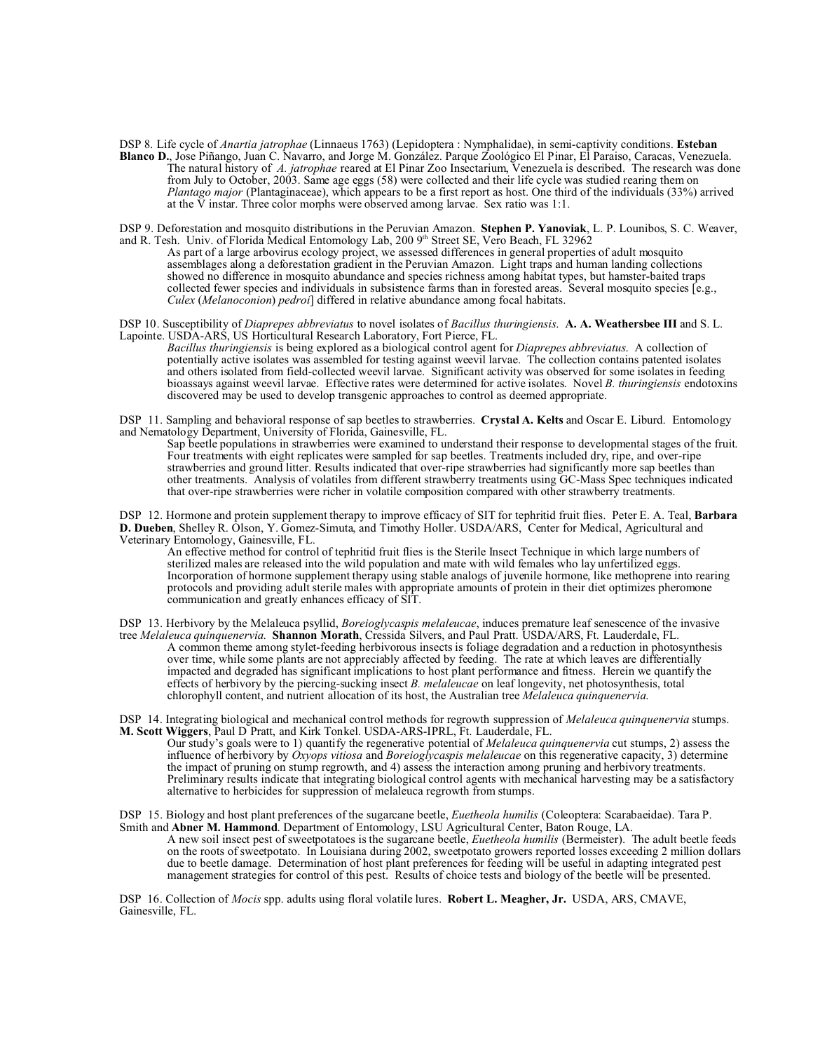DSP 8. Life cycle of *Anartia jatrophae* (Linnaeus 1763) (Lepidoptera : Nymphalidae), in semi-captivity conditions. **Esteban Blanco D.**, Jose Piñango, Juan C. Navarro, and Jorge M. González. Parque Zoológico El Pinar, El Paraiso, Caracas, Venezuela. The natural history of *A. jatrophae* reared at El Pinar Zoo Insectarium, Venezuela is described. The research was done from July to October, 2003. Same age eggs (58) were collected and their life cycle was studied rearing them on *Plantago major* (Plantaginaceae), which appears to be a first report as host. One third of the individuals (33%) arrived at the  $\overline{V}$  instar. Three color morphs were observed among larvae. Sex ratio was 1:1.

DSP 9. Deforestation and mosquito distributions in the Peruvian Amazon. **Stephen P. Yanoviak**, L. P. Lounibos, S. C. Weaver, and R. Tesh. Univ. of Florida Medical Entomology Lab, 200 9th Street SE, Vero Beach, FL 32962

As part of a large arbovirus ecology project, we assessed differences in general properties of adult mosquito assemblages along a deforestation gradient in the Peruvian Amazon. Light traps and human landing collections showed no difference in mosquito abundance and species richness among habitat types, but hamster-baited traps collected fewer species and individuals in subsistence farms than in forested areas. Several mosquito species [e.g., *Culex* (*Melanoconion*) *pedroi*] differed in relative abundance among focal habitats.

DSP 10. Susceptibility of *Diaprepes abbreviatus* to novel isolates of *Bacillus thuringiensis*. **A. A. Weathersbee III** and S. L. Lapointe. USDA-ARS, US Horticultural Research Laboratory, Fort Pierce, FL.

*Bacillus thuringiensis* is being explored as a biological control agent for *Diaprepes abbreviatus*. A collection of potentially active isolates was assembled for testing against weevil larvae. The collection contains patented isolates and others isolated from field-collected weevil larvae. Significant activity was observed for some isolates in feeding bioassays against weevil larvae. Effective rates were determined for active isolates. Novel *B. thuringiensis* endotoxins discovered may be used to develop transgenic approaches to control as deemed appropriate.

DSP 11. Sampling and behavioral response of sap beetles to strawberries. **Crystal A. Kelts** and Oscar E. Liburd. Entomology and Nematology Department, University of Florida, Gainesville, FL.

Sap beetle populations in strawberries were examined to understand their response to developmental stages of the fruit. Four treatments with eight replicates were sampled for sap beetles. Treatments included dry, ripe, and over-ripe strawberries and ground litter. Results indicated that over-ripe strawberries had significantly more sap beetles than other treatments. Analysis of volatiles from different strawberry treatments using GC-Mass Spec techniques indicated that over-ripe strawberries were richer in volatile composition compared with other strawberry treatments.

DSP 12. Hormone and protein supplement therapy to improve efficacy of SIT for tephritid fruit flies. Peter E. A. Teal, **Barbara D. Dueben**, Shelley R. Olson, Y. Gomez-Simuta, and Timothy Holler. USDA/ARS, Center for Medical, Agricultural and Veterinary Entomology, Gainesville, FL.

An effective method for control of tephritid fruit flies is the Sterile Insect Technique in which large numbers of sterilized males are released into the wild population and mate with wild females who lay unfertilized eggs. Incorporation of hormone supplement therapy using stable analogs of juvenile hormone, like methoprene into rearing protocols and providing adult sterile males with appropriate amounts of protein in their diet optimizes pheromone communication and greatly enhances efficacy of SIT.

DSP 13. Herbivory by the Melaleuca psyllid, *Boreioglycaspis melaleucae*, induces premature leaf senescence of the invasive tree *Melaleuca quinquenervia*. **Shannon Morath**, Cressida Silvers, and Paul Pratt. USDA/ARS, Ft. Lauderdale, FL. A common theme among stylet-feeding herbivorous insects is foliage degradation and a reduction in photosynthesis over time, while some plants are not appreciably affected by feeding. The rate at which leaves are differentially impacted and degraded has significant implications to host plant performance and fitness. Herein we quantify the effects of herbivory by the piercing-sucking insect *B. melaleucae* on leaf longevity, net photosynthesis, total chlorophyll content, and nutrient allocation of its host, the Australian tree *Melaleuca quinquenervia*.

DSP 14. Integrating biological and mechanical control methods for regrowth suppression of *Melaleuca quinquenervia* stumps. **M. Scott Wiggers**, Paul D Pratt, and Kirk Tonkel. USDA-ARS-IPRL, Ft. Lauderdale, FL.

Our study's goals were to 1) quantify the regenerative potential of *Melaleuca quinquenervia* cut stumps, 2) assess the influence of herbivory by *Oxyops vitiosa* and *Boreioglycaspis melaleucae* on this regenerative capacity, 3) determine the impact of pruning on stump regrowth, and 4) assess the interaction among pruning and herbivory treatments. Preliminary results indicate that integrating biological control agents with mechanical harvesting may be a satisfactory alternative to herbicides for suppression of melaleuca regrowth from stumps.

DSP 15. Biology and host plant preferences of the sugarcane beetle, *Euetheola humilis* (Coleoptera: Scarabaeidae). Tara P. Smith and **Abner M. Hammond**. Department of Entomology, LSU Agricultural Center, Baton Rouge, LA.

A new soil insect pest of sweetpotatoes is the sugarcane beetle, *Euetheola humilis* (Bermeister). The adult beetle feeds on the roots of sweetpotato. In Louisiana during 2002, sweetpotato growers reported losses exceeding 2 million dollars due to beetle damage. Determination of host plant preferences for feeding will be useful in adapting integrated pest management strategies for control of this pest. Results of choice tests and biology of the beetle will be presented.

DSP 16. Collection of *Mocis* spp. adults using floral volatile lures. **Robert L. Meagher, Jr.** USDA, ARS, CMAVE, Gainesville, FL.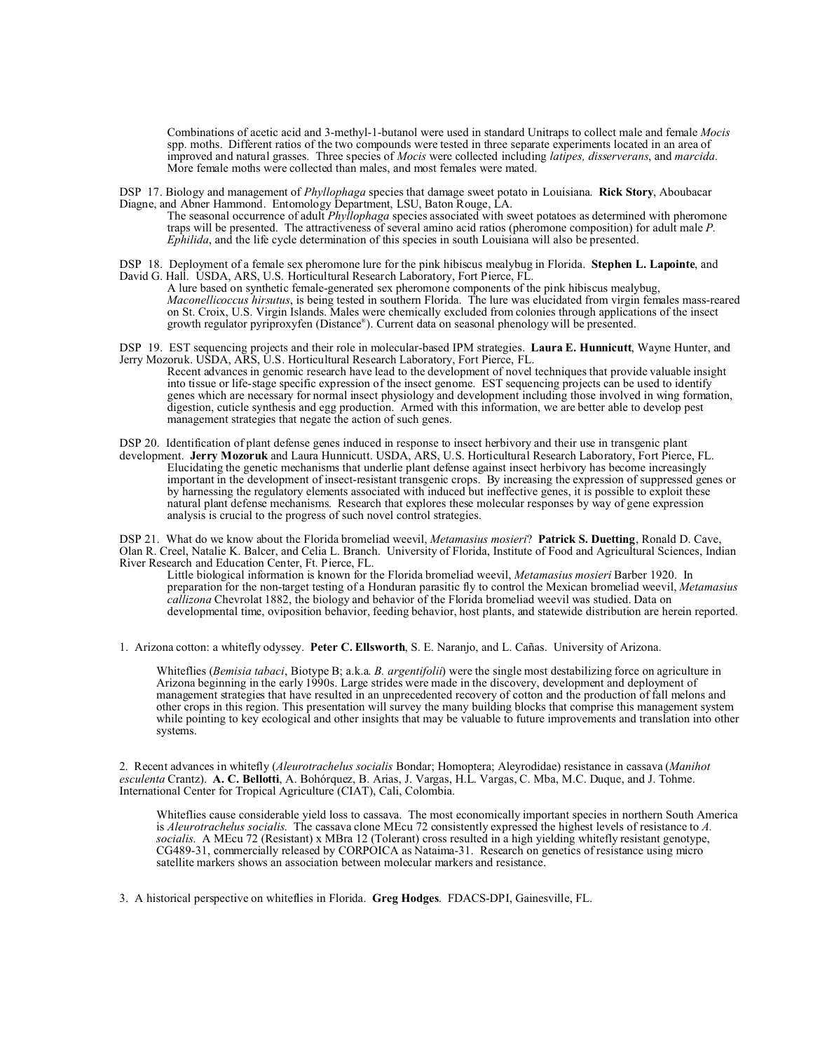Combinations of acetic acid and 3-methyl-1-butanol were used in standard Unitraps to collect male and female *Mocis* spp. moths. Different ratios of the two compounds were tested in three separate experiments located in an area of improved and natural grasses. Three species of *Mocis* were collected including *latipes, disserverans*, and *marcida*. More female moths were collected than males, and most females were mated.

DSP 17. Biology and management of *Phyllophaga* species that damage sweet potato in Louisiana. **Rick Story**, Aboubacar Diagne, and Abner Hammond. Entomology Department, LSU, Baton Rouge, LA.

The seasonal occurrence of adult *Phyllophaga* species associated with sweet potatoes as determined with pheromone traps will be presented. The attractiveness of several amino acid ratios (pheromone composition) for adult male *P. Ephilida*, and the life cycle determination of this species in south Louisiana will also be presented.

DSP 18. Deployment of a female sex pheromone lure for the pink hibiscus mealybug in Florida. **Stephen L. Lapointe**, and David G. Hall. USDA, ARS, U.S. Horticultural Research Laboratory, Fort Pierce, FL.

A lure based on synthetic female-generated sex pheromone components of the pink hibiscus mealybug, *Maconellicoccus hirsutus*, is being tested in southern Florida. The lure was elucidated from virgin females mass-reared on St. Croix, U.S. Virgin Islands. Males were chemically excluded from colonies through applications of the insect growth regulator pyriproxyfen (Distance® ). Current data on seasonal phenology will be presented.

DSP 19. EST sequencing projects and their role in molecular-based IPM strategies. **Laura E. Hunnicutt**, Wayne Hunter, and Jerry Mozoruk. USDA, ARS, U.S. Horticultural Research Laboratory, Fort Pierce, FL.

Recent advances in genomic research have lead to the development of novel techniques that provide valuable insight into tissue or life-stage specific expression of the insect genome. EST sequencing projects can be used to identify genes which are necessary for normal insect physiology and development including those involved in wing formation, digestion, cuticle synthesis and egg production. Armed with this information, we are better able to develop pest management strategies that negate the action of such genes.

DSP 20. Identification of plant defense genes induced in response to insect herbivory and their use in transgenic plant development. **Jerry Mozoruk** and Laura Hunnicutt. USDA, ARS, U.S. Horticultural Research Laboratory, Fort Pierce, FL. Elucidating the genetic mechanisms that underlie plant defense against insect herbivory has become increasingly important in the development of insect-resistant transgenic crops. By increasing the expression of suppressed genes or by harnessing the regulatory elements associated with induced but ineffective genes, it is possible to exploit these natural plant defense mechanisms. Research that explores these molecular responses by way of gene expression analysis is crucial to the progress of such novel control strategies.

DSP 21. What do we know about the Florida bromeliad weevil, *Metamasius mosieri*? **Patrick S. Duetting**, Ronald D. Cave, Olan R. Creel, Natalie K. Balcer, and Celia L. Branch. University of Florida, Institute of Food and Agricultural Sciences, Indian River Research and Education Center, Ft. Pierce, FL.

Little biological information is known for the Florida bromeliad weevil, *Metamasius mosieri* Barber 1920. In preparation for the non-target testing of a Honduran parasitic fly to control the Mexican bromeliad weevil, *Metamasius callizona* Chevrolat 1882, the biology and behavior of the Florida bromeliad weevil was studied. Data on developmental time, oviposition behavior, feeding behavior, host plants, and statewide distribution are herein reported.

1. Arizona cotton: a whitefly odyssey. **Peter C. Ellsworth**, S. E. Naranjo, and L. Cañas. University of Arizona.

Whiteflies (*Bemisia tabaci*, Biotype B; a.k.a. *B. argentifolii*) were the single most destabilizing force on agriculture in Arizona beginning in the early 1990s. Large strides were made in the discovery, development and deployment of management strategies that have resulted in an unprecedented recovery of cotton and the production of fall melons and other crops in this region. This presentation will survey the many building blocks that comprise this management system while pointing to key ecological and other insights that may be valuable to future improvements and translation into other systems.

2. Recent advances in whitefly (*Aleurotrachelus socialis* Bondar; Homoptera; Aleyrodidae) resistance in cassava (*Manihot esculenta* Crantz). **A. C. Bellotti**, A. Bohórquez, B. Arias, J. Vargas, H.L. Vargas, C. Mba, M.C. Duque, and J. Tohme. International Center for Tropical Agriculture (CIAT), Cali, Colombia.

Whiteflies cause considerable yield loss to cassava. The most economically important species in northern South America is *Aleurotrachelus socialis*. The cassava clone MEcu 72 consistently expressed the highest levels of resistance to *A. socialis*. A MEcu 72 (Resistant) x MBra 12 (Tolerant) cross resulted in a high yielding whitefly resistant genotype, CG489-31, commercially released by CORPOICA as Nataima-31. Research on genetics of resistance using micro satellite markers shows an association between molecular markers and resistance.

3. A historical perspective on whiteflies in Florida. **Greg Hodges**. FDACS-DPI, Gainesville, FL.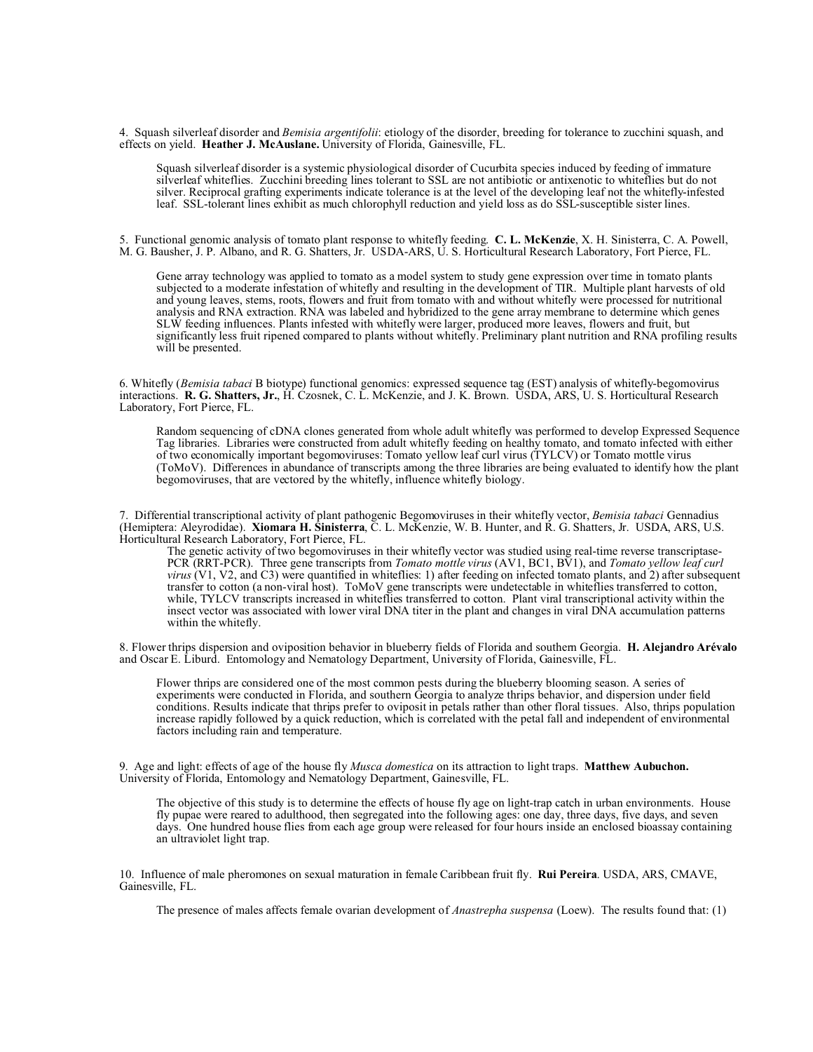4. Squash silverleaf disorder and *Bemisia argentifolii*: etiology of the disorder, breeding for tolerance to zucchini squash, and effects on yield. **Heather J. McAuslane.** University of Florida, Gainesville, FL.

Squash silverleaf disorder is a systemic physiological disorder of Cucurbita species induced by feeding of immature silverleaf whiteflies. Zucchini breeding lines tolerant to SSL are not antibiotic or antixenotic to whiteflies but do not silver. Reciprocal grafting experiments indicate tolerance is at the level of the developing leaf not the whitefly-infested leaf. SSL-tolerant lines exhibit as much chlorophyll reduction and yield loss as do SSL-susceptible sister lines.

5. Functional genomic analysis of tomato plant response to whitefly feeding. **C. L. McKenzie**, X. H. Sinisterra, C. A. Powell, M. G. Bausher, J. P. Albano, and R. G. Shatters, Jr. USDA-ARS, U. S. Horticultural Research Laboratory, Fort Pierce, FL.

Gene array technology was applied to tomato as a model system to study gene expression over time in tomato plants subjected to a moderate infestation of whitefly and resulting in the development of TIR. Multiple plant harvests of old and young leaves, stems, roots, flowers and fruit from tomato with and without whitefly were processed for nutritional analysis and RNA extraction. RNA was labeled and hybridized to the gene array membrane to determine which genes SLW feeding influences. Plants infested with whitefly were larger, produced more leaves, flowers and fruit, but significantly less fruit ripened compared to plants without whitefly. Preliminary plant nutrition and RNA profiling results will be presented.

6. Whitefly (*Bemisia tabaci* B biotype) functional genomics: expressed sequence tag (EST) analysis of whitefly-begomovirus interactions. **R. G. Shatters, Jr.**, H. Czosnek, C. L. McKenzie, and J. K. Brown. USDA, ARS, U. S. Horticultural Research Laboratory, Fort Pierce, FL.

Random sequencing of cDNA clones generated from whole adult whitefly was performed to develop Expressed Sequence Tag libraries. Libraries were constructed from adult whitefly feeding on healthy tomato, and tomato infected with either of two economically important begomoviruses: Tomato yellow leaf curl virus (TYLCV) or Tomato mottle virus (ToMoV). Differences in abundance of transcripts among the three libraries are being evaluated to identify how the plant begomoviruses, that are vectored by the whitefly, influence whitefly biology.

7. Differential transcriptional activity of plant pathogenic Begomoviruses in their whitefly vector, *Bemisia tabaci* Gennadius (Hemiptera: Aleyrodidae). **Xiomara H. Sinisterra**, C. L. McKenzie, W. B. Hunter, and R. G. Shatters, Jr. USDA, ARS, U.S. Horticultural Research Laboratory, Fort Pierce, FL.

The genetic activity of two begomoviruses in their whitefly vector was studied using real-time reverse transcriptase-PCR (RRT-PCR). Three gene transcripts from *Tomato mottle virus* (AV1, BC1, BV1), and *Tomato yellow leaf curl virus* (V1, V2, and C3) were quantified in whiteflies: 1) after feeding on infected tomato plants, and 2) after subsequent transfer to cotton (a non-viral host). ToMoV gene transcripts were undetectable in whiteflies transferred to cotton, while, TYLCV transcripts increased in whiteflies transferred to cotton. Plant viral transcriptional activity within the insect vector was associated with lower viral DNA titer in the plant and changes in viral DNA accumulation patterns within the whitefly.

8. Flower thrips dispersion and oviposition behavior in blueberry fields of Florida and southern Georgia. **H. Alejandro Arévalo** and Oscar E. Liburd. Entomology and Nematology Department, University of Florida, Gainesville, FL.

Flower thrips are considered one of the most common pests during the blueberry blooming season. A series of experiments were conducted in Florida, and southern Georgia to analyze thrips behavior, and dispersion under field conditions. Results indicate that thrips prefer to oviposit in petals rather than other floral tissues. Also, thrips population increase rapidly followed by a quick reduction, which is correlated with the petal fall and independent of environmental factors including rain and temperature.

9. Age and light: effects of age of the house fly *Musca domestica* on its attraction to light traps. **Matthew Aubuchon.**  University of Florida, Entomology and Nematology Department, Gainesville, FL.

The objective of this study is to determine the effects of house fly age on light-trap catch in urban environments. House fly pupae were reared to adulthood, then segregated into the following ages: one day, three days, five days, and seven days. One hundred house flies from each age group were released for four hours inside an enclosed bioassay containing an ultraviolet light trap.

10. Influence of male pheromones on sexual maturation in female Caribbean fruit fly. **Rui Pereira**. USDA, ARS, CMAVE, Gainesville, FL.

The presence of males affects female ovarian development of *Anastrepha suspensa* (Loew). The results found that: (1)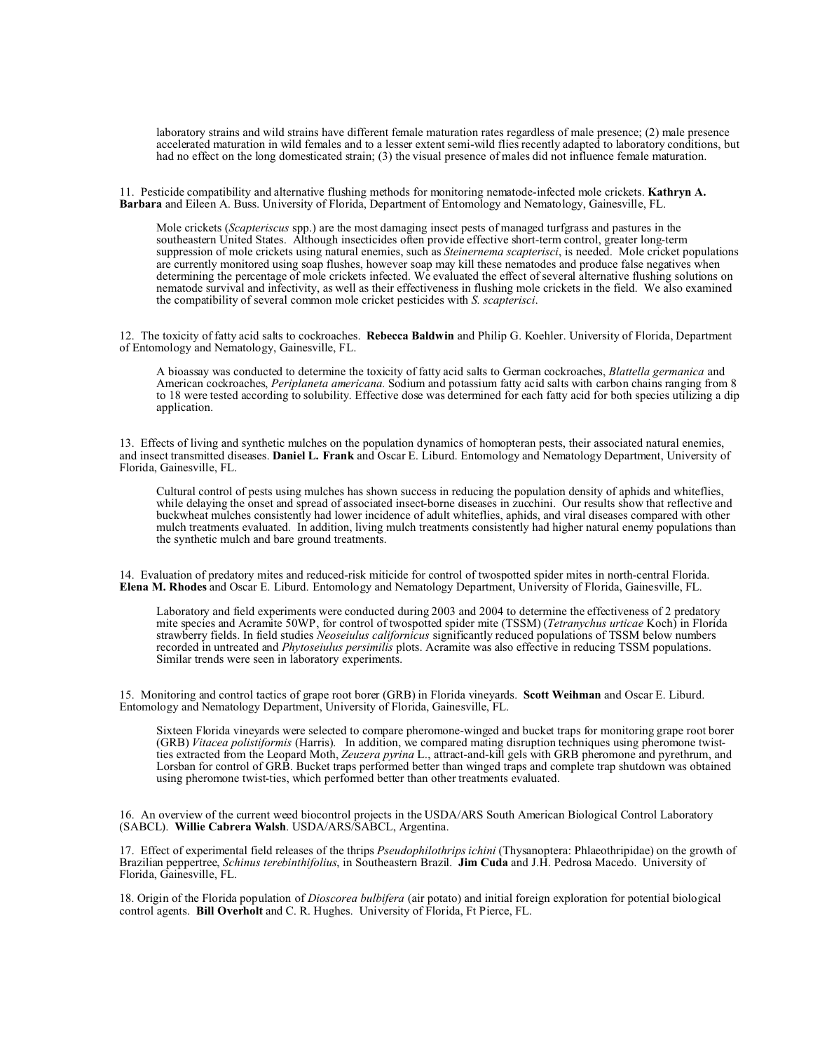laboratory strains and wild strains have different female maturation rates regardless of male presence; (2) male presence accelerated maturation in wild females and to a lesser extent semi-wild flies recently adapted to laboratory conditions, but had no effect on the long domesticated strain; (3) the visual presence of males did not influence female maturation.

11. Pesticide compatibility and alternative flushing methods for monitoring nematode-infected mole crickets. **Kathryn A. Barbara** and Eileen A. Buss. University of Florida, Department of Entomology and Nematology, Gainesville, FL.

Mole crickets (*Scapteriscus* spp.) are the most damaging insect pests of managed turfgrass and pastures in the southeastern United States. Although insecticides often provide effective short-term control, greater long-term suppression of mole crickets using natural enemies, such as *Steinernema scapterisci*, is needed. Mole cricket populations are currently monitored using soap flushes, however soap may kill these nematodes and produce false negatives when determining the percentage of mole crickets infected. We evaluated the effect of several alternative flushing solutions on nematode survival and infectivity, as well as their effectiveness in flushing mole crickets in the field. We also examined the compatibility of several common mole cricket pesticides with *S. scapterisci*.

12. The toxicity of fatty acid salts to cockroaches. **Rebecca Baldwin** and Philip G. Koehler. University of Florida, Department of Entomology and Nematology, Gainesville, FL.

A bioassay was conducted to determine the toxicity of fatty acid salts to German cockroaches, *Blattella germanica* and American cockroaches, *Periplaneta americana.* Sodium and potassium fatty acid salts with carbon chains ranging from 8 to 18 were tested according to solubility. Effective dose was determined for each fatty acid for both species utilizing a dip application.

13. Effects of living and synthetic mulches on the population dynamics of homopteran pests, their associated natural enemies, and insect transmitted diseases. **Daniel L. Frank** and Oscar E. Liburd. Entomology and Nematology Department, University of Florida, Gainesville, FL.

Cultural control of pests using mulches has shown success in reducing the population density of aphids and whiteflies, while delaying the onset and spread of associated insect-borne diseases in zucchini. Our results show that reflective and buckwheat mulches consistently had lower incidence of adult whiteflies, aphids, and viral diseases compared with other mulch treatments evaluated. In addition, living mulch treatments consistently had higher natural enemy populations than the synthetic mulch and bare ground treatments.

14. Evaluation of predatory mites and reduced-risk miticide for control of twospotted spider mites in north-central Florida. **Elena M. Rhodes** and Oscar E. Liburd. Entomology and Nematology Department, University of Florida, Gainesville, FL.

Laboratory and field experiments were conducted during 2003 and 2004 to determine the effectiveness of 2 predatory mite species and Acramite 50WP, for control of twospotted spider mite (TSSM) (*Tetranychus urticae* Koch) in Florida strawberry fields. In field studies *Neoseiulus californicus* significantly reduced populations of TSSM below numbers recorded in untreated and *Phytoseiulus persimilis* plots. Acramite was also effective in reducing TSSM populations. Similar trends were seen in laboratory experiments.

15. Monitoring and control tactics of grape root borer (GRB) in Florida vineyards. **Scott Weihman** and Oscar E. Liburd. Entomology and Nematology Department, University of Florida, Gainesville, FL.

Sixteen Florida vineyards were selected to compare pheromone-winged and bucket traps for monitoring grape root borer (GRB) *Vitacea polistiformis* (Harris). In addition, we compared mating disruption techniques using pheromone twistties extracted from the Leopard Moth, *Zeuzera pyrina* L., attract-and-kill gels with GRB pheromone and pyrethrum, and Lorsban for control of GRB. Bucket traps performed better than winged traps and complete trap shutdown was obtained using pheromone twist-ties, which performed better than other treatments evaluated.

16. An overview of the current weed biocontrol projects in the USDA/ARS South American Biological Control Laboratory (SABCL). **Willie Cabrera Walsh**. USDA/ARS/SABCL, Argentina.

17. Effect of experimental field releases of the thrips *Pseudophilothrips ichini* (Thysanoptera: Phlaeothripidae) on the growth of Brazilian peppertree, *Schinus terebinthifolius*, in Southeastern Brazil. **Jim Cuda** and J.H. Pedrosa Macedo. University of Florida, Gainesville, FL.

18. Origin of the Florida population of *Dioscorea bulbifera* (air potato) and initial foreign exploration for potential biological control agents. **Bill Overholt** and C. R. Hughes. University of Florida, Ft Pierce, FL.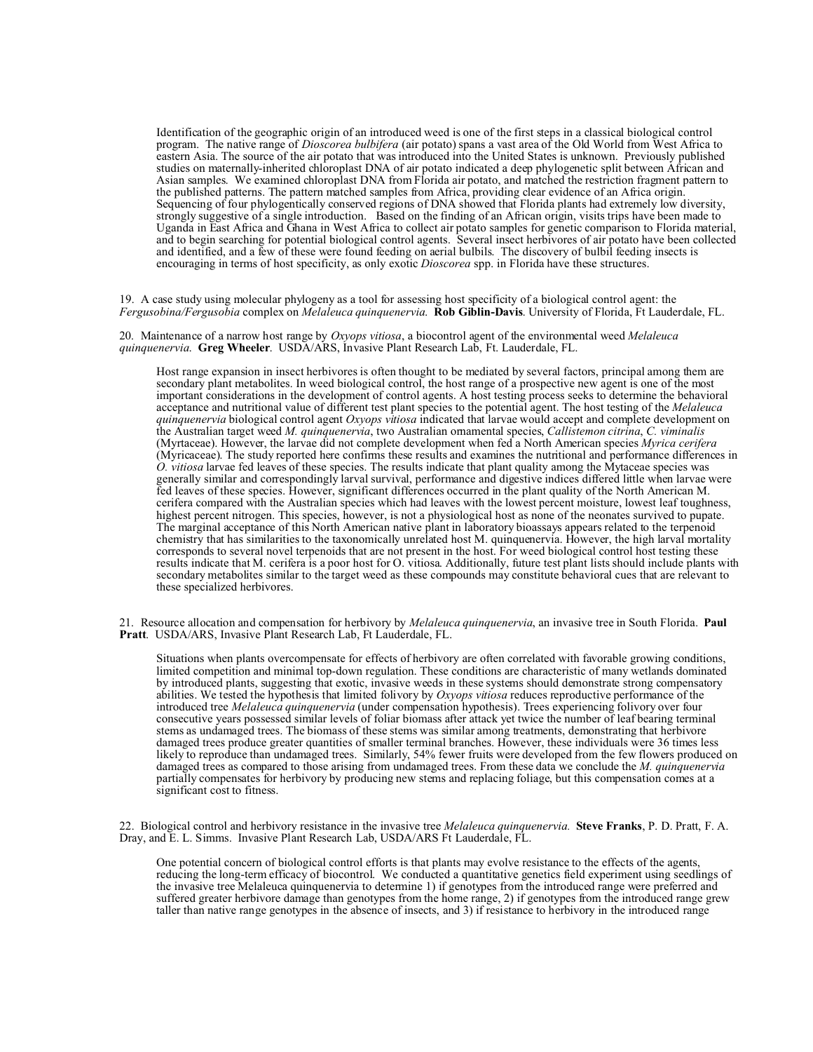Identification of the geographic origin of an introduced weed is one of the first steps in a classical biological control program. The native range of *Dioscorea bulbifera* (air potato) spans a vast area of the Old World from West Africa to eastern Asia. The source of the air potato that was introduced into the United States is unknown. Previously published studies on maternally-inherited chloroplast DNA of air potato indicated a deep phylogenetic split between African and Asian samples. We examined chloroplast DNA from Florida air potato, and matched the restriction fragment pattern to the published patterns. The pattern matched samples from Africa, providing clear evidence of an Africa origin. Sequencing of four phylogentically conserved regions of DNA showed that Florida plants had extremely low diversity, strongly suggestive of a single introduction. Based on the finding of an African origin, visits trips have been made to Uganda in East Africa and Ghana in West Africa to collect air potato samples for genetic comparison to Florida material, and to begin searching for potential biological control agents. Several insect herbivores of air potato have been collected and identified, and a few of these were found feeding on aerial bulbils. The discovery of bulbil feeding insects is encouraging in terms of host specificity, as only exotic *Dioscorea* spp. in Florida have these structures.

19. A case study using molecular phylogeny as a tool for assessing host specificity of a biological control agent: the *Fergusobina/Fergusobia* complex on *Melaleuca quinquenervia*. **Rob Giblin-Davis**. University of Florida, Ft Lauderdale, FL.

20. Maintenance of a narrow host range by *Oxyops vitiosa*, a biocontrol agent of the environmental weed *Melaleuca quinquenervia*. **Greg Wheeler**. USDA/ARS, Invasive Plant Research Lab, Ft. Lauderdale, FL.

Host range expansion in insect herbivores is often thought to be mediated by several factors, principal among them are secondary plant metabolites. In weed biological control, the host range of a prospective new agent is one of the most important considerations in the development of control agents. A host testing process seeks to determine the behavioral acceptance and nutritional value of different test plant species to the potential agent. The host testing of the *Melaleuca quinquenervia* biological control agent *Oxyops vitiosa* indicated that larvae would accept and complete development on the Australian target weed *M. quinquenervia*, two Australian ornamental species, *Callistemon citrina*, *C. viminalis* (Myrtaceae). However, the larvae did not complete development when fed a North American species *Myrica cerifera* (Myricaceae). The study reported here confirms these results and examines the nutritional and performance differences in *O. vitiosa* larvae fed leaves of these species. The results indicate that plant quality among the Mytaceae species was generally similar and correspondingly larval survival, performance and digestive indices differed little when larvae were fed leaves of these species. However, significant differences occurred in the plant quality of the North American M. cerifera compared with the Australian species which had leaves with the lowest percent moisture, lowest leaf toughness, highest percent nitrogen. This species, however, is not a physiological host as none of the neonates survived to pupate. The marginal acceptance of this North American native plant in laboratory bioassays appears related to the terpenoid chemistry that has similarities to the taxonomically unrelated host M. quinquenervia. However, the high larval mortality corresponds to several novel terpenoids that are not present in the host. For weed biological control host testing these results indicate that M. cerifera is a poor host for O. vitiosa. Additionally, future test plant lists should include plants with secondary metabolites similar to the target weed as these compounds may constitute behavioral cues that are relevant to these specialized herbivores.

21. Resource allocation and compensation for herbivory by *Melaleuca quinquenervia*, an invasive tree in South Florida. **Paul Pratt**. USDA/ARS, Invasive Plant Research Lab, Ft Lauderdale, FL.

Situations when plants overcompensate for effects of herbivory are often correlated with favorable growing conditions, limited competition and minimal top-down regulation. These conditions are characteristic of many wetlands dominated by introduced plants, suggesting that exotic, invasive weeds in these systems should demonstrate strong compensatory abilities. We tested the hypothesis that limited folivory by *Oxyops vitiosa* reduces reproductive performance of the introduced tree *Melaleuca quinquenervia* (under compensation hypothesis). Trees experiencing folivory over four consecutive years possessed similar levels of foliar biomass after attack yet twice the number of leaf bearing terminal stems as undamaged trees. The biomass of these stems was similar among treatments, demonstrating that herbivore damaged trees produce greater quantities of smaller terminal branches. However, these individuals were 36 times less likely to reproduce than undamaged trees. Similarly, 54% fewer fruits were developed from the few flowers produced on damaged trees as compared to those arising from undamaged trees. From these data we conclude the *M. quinquenervia* partially compensates for herbivory by producing new stems and replacing foliage, but this compensation comes at a significant cost to fitness.

22. Biological control and herbivory resistance in the invasive tree *Melaleuca quinquenervia.* **Steve Franks**, P. D. Pratt, F. A. Dray, and E. L. Simms. Invasive Plant Research Lab, USDA/ARS Ft Lauderdale, FL.

One potential concern of biological control efforts is that plants may evolve resistance to the effects of the agents, reducing the long-term efficacy of biocontrol. We conducted a quantitative genetics field experiment using seedlings of the invasive tree Melaleuca quinquenervia to determine 1) if genotypes from the introduced range were preferred and suffered greater herbivore damage than genotypes from the home range, 2) if genotypes from the introduced range grew taller than native range genotypes in the absence of insects, and 3) if resistance to herbivory in the introduced range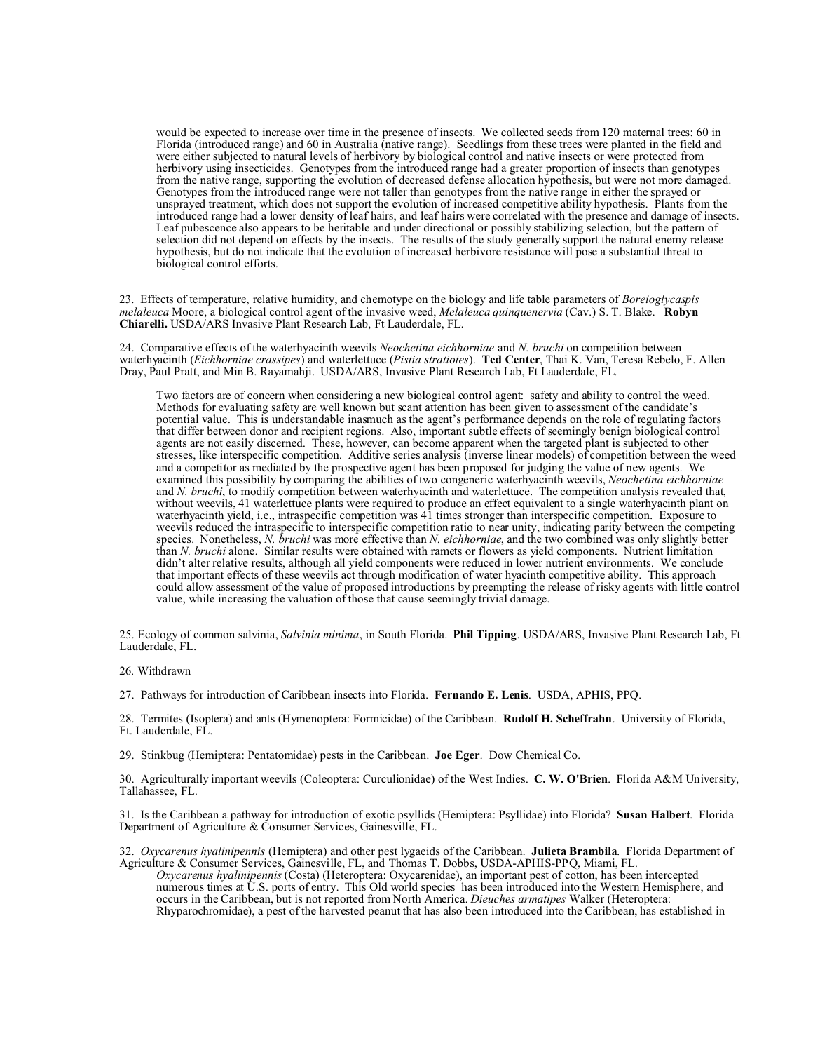would be expected to increase over time in the presence of insects. We collected seeds from 120 maternal trees: 60 in Florida (introduced range) and 60 in Australia (native range). Seedlings from these trees were planted in the field and were either subjected to natural levels of herbivory by biological control and native insects or were protected from herbivory using insecticides. Genotypes from the introduced range had a greater proportion of insects than genotypes from the native range, supporting the evolution of decreased defense allocation hypothesis, but were not more damaged. Genotypes from the introduced range were not taller than genotypes from the native range in either the sprayed or unsprayed treatment, which does not support the evolution of increased competitive ability hypothesis. Plants from the introduced range had a lower density of leaf hairs, and leaf hairs were correlated with the presence and damage of insects. Leaf pubescence also appears to be heritable and under directional or possibly stabilizing selection, but the pattern of selection did not depend on effects by the insects. The results of the study generally support the natural enemy release hypothesis, but do not indicate that the evolution of increased herbivore resistance will pose a substantial threat to biological control efforts.

23. Effects of temperature, relative humidity, and chemotype on the biology and life table parameters of *Boreioglycaspis melaleuca* Moore, a biological control agent of the invasive weed, *Melaleuca quinquenervia* (Cav.) S. T. Blake. **Robyn Chiarelli.** USDA/ARS Invasive Plant Research Lab, Ft Lauderdale, FL.

24. Comparative effects of the waterhyacinth weevils *Neochetina eichhorniae* and *N. bruchi* on competition between waterhyacinth (*Eichhorniae crassipes*) and waterlettuce (*Pistia stratiotes*). **Ted Center**, Thai K. Van, Teresa Rebelo, F. Allen Dray, Paul Pratt, and Min B. Rayamahji. USDA/ARS, Invasive Plant Research Lab, Ft Lauderdale, FL.

Two factors are of concern when considering a new biological control agent: safety and ability to control the weed. Methods for evaluating safety are well known but scant attention has been given to assessment of the candidate's potential value. This is understandable inasmuch as the agent's performance depends on the role of regulating factors that differ between donor and recipient regions. Also, important subtle effects of seemingly benign biological control agents are not easily discerned. These, however, can become apparent when the targeted plant is subjected to other stresses, like interspecific competition. Additive series analysis (inverse linear models) of competition between the weed and a competitor as mediated by the prospective agent has been proposed for judging the value of new agents. We examined this possibility by comparing the abilities of two congeneric waterhyacinth weevils, *Neochetina eichhorniae* and *N. bruchi*, to modify competition between waterhyacinth and waterlettuce. The competition analysis revealed that, without weevils, 41 waterlettuce plants were required to produce an effect equivalent to a single waterhyacinth plant on waterhyacinth yield, i.e., intraspecific competition was 41 times stronger than interspecific competition. Exposure to weevils reduced the intraspecific to interspecific competition ratio to near unity, indicating parity between the competing species. Nonetheless, *N. bruchi* was more effective than *N. eichhorniae*, and the two combined was only slightly better than *N. bruchi* alone. Similar results were obtained with ramets or flowers as yield components. Nutrient limitation didn't alter relative results, although all yield components were reduced in lower nutrient environments. We conclude that important effects of these weevils act through modification of water hyacinth competitive ability. This approach could allow assessment of the value of proposed introductions by preempting the release of risky agents with little control value, while increasing the valuation of those that cause seemingly trivial damage.

25. Ecology of common salvinia, *Salvinia minima*, in South Florida. **Phil Tipping**. USDA/ARS, Invasive Plant Research Lab, Ft Lauderdale, FL.

26. Withdrawn

27. Pathways for introduction of Caribbean insects into Florida. **Fernando E. Lenis**. USDA, APHIS, PPQ.

28. Termites (Isoptera) and ants (Hymenoptera: Formicidae) of the Caribbean. **Rudolf H. Scheffrahn**. University of Florida, Ft. Lauderdale, FL.

29. Stinkbug (Hemiptera: Pentatomidae) pests in the Caribbean. **Joe Eger**. Dow Chemical Co.

30. Agriculturally important weevils (Coleoptera: Curculionidae) of the West Indies. **C. W. O'Brien**. Florida A&M University, Tallahassee, FL.

31. Is the Caribbean a pathway for introduction of exotic psyllids (Hemiptera: Psyllidae) into Florida? **Susan Halbert**. Florida Department of Agriculture & Consumer Services, Gainesville, FL.

32. *Oxycarenus hyalinipennis* (Hemiptera) and other pest lygaeids of the Caribbean. **Julieta Brambila**. Florida Department of Agriculture & Consumer Services, Gainesville, FL, and Thomas T. Dobbs, USDA-APHIS-PPQ, Miami, FL.

*Oxycarenus hyalinipennis* (Costa) (Heteroptera: Oxycarenidae), an important pest of cotton, has been intercepted numerous times at U.S. ports of entry. This Old world species has been introduced into the Western Hemisphere, and occurs in the Caribbean, but is not reported from North America. *Dieuches armatipes* Walker (Heteroptera: Rhyparochromidae), a pest of the harvested peanut that has also been introduced into the Caribbean, has established in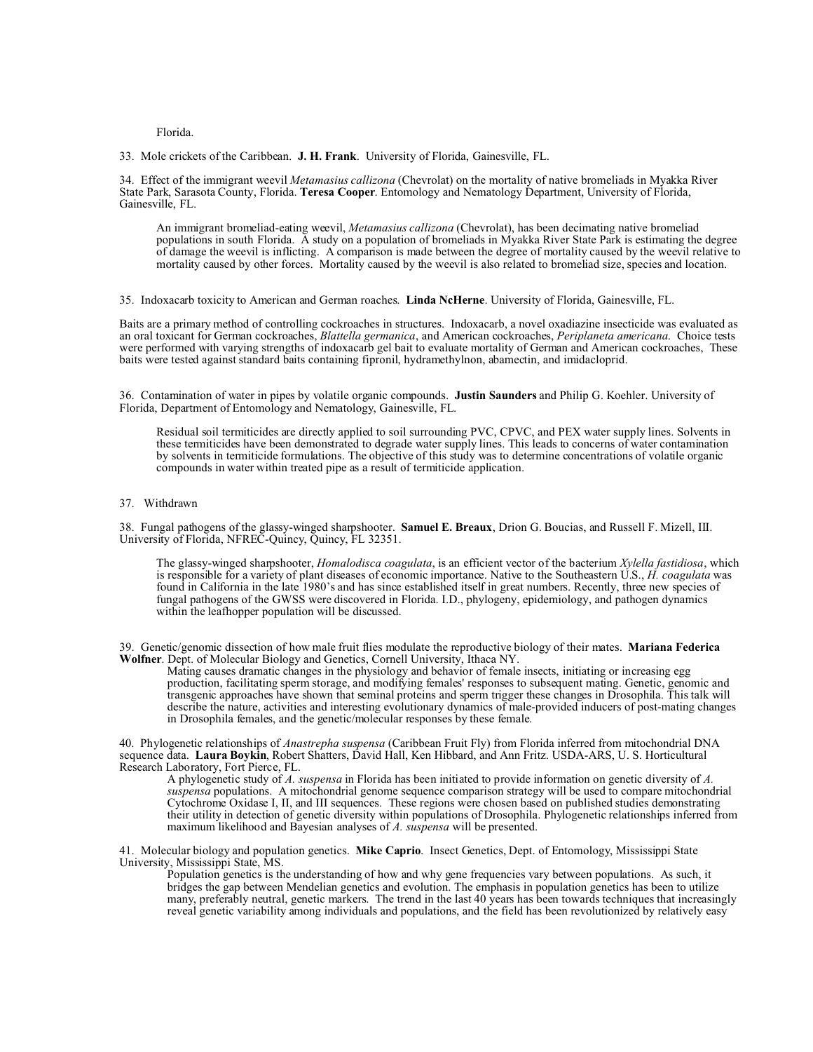Florida.

33. Mole crickets of the Caribbean. **J. H. Frank**. University of Florida, Gainesville, FL.

34. Effect of the immigrant weevil *Metamasius callizona* (Chevrolat) on the mortality of native bromeliads in Myakka River State Park, Sarasota County, Florida. **Teresa Cooper**. Entomology and Nematology Department, University of Florida, Gainesville, FL.

An immigrant bromeliad-eating weevil, *Metamasius callizona* (Chevrolat), has been decimating native bromeliad populations in south Florida. A study on a population of bromeliads in Myakka River State Park is estimating the degree of damage the weevil is inflicting. A comparison is made between the degree of mortality caused by the weevil relative to mortality caused by other forces. Mortality caused by the weevil is also related to bromeliad size, species and location.

35. Indoxacarb toxicity to American and German roaches. **Linda NcHerne**. University of Florida, Gainesville, FL.

Baits are a primary method of controlling cockroaches in structures. Indoxacarb, a novel oxadiazine insecticide was evaluated as an oral toxicant for German cockroaches, *Blattella germanica*, and American cockroaches, *Periplaneta americana*. Choice tests were performed with varying strengths of indoxacarb gel bait to evaluate mortality of German and American cockroaches, These baits were tested against standard baits containing fipronil, hydramethylnon, abamectin, and imidacloprid.

36. Contamination of water in pipes by volatile organic compounds. **Justin Saunders** and Philip G. Koehler. University of Florida, Department of Entomology and Nematology, Gainesville, FL.

Residual soil termiticides are directly applied to soil surrounding PVC, CPVC, and PEX water supply lines. Solvents in these termiticides have been demonstrated to degrade water supply lines. This leads to concerns of water contamination by solvents in termiticide formulations. The objective of this study was to determine concentrations of volatile organic compounds in water within treated pipe as a result of termiticide application.

## 37. Withdrawn

38. Fungal pathogens of the glassy-winged sharpshooter. **Samuel E. Breaux**, Drion G. Boucias, and Russell F. Mizell, III. University of Florida, NFREC-Quincy, Quincy, FL 32351.

The glassy-winged sharpshooter, *Homalodisca coagulata*, is an efficient vector of the bacterium *Xylella fastidiosa*, which is responsible for a variety of plant diseases of economic importance. Native to the Southeastern U.S., *H. coagulata* was found in California in the late 1980's and has since established itself in great numbers. Recently, three new species of fungal pathogens of the GWSS were discovered in Florida. I.D., phylogeny, epidemiology, and pathogen dynamics within the leafhopper population will be discussed.

39. Genetic/genomic dissection of how male fruit flies modulate the reproductive biology of their mates. **Mariana Federica Wolfner**. Dept. of Molecular Biology and Genetics, Cornell University, Ithaca NY.

Mating causes dramatic changes in the physiology and behavior of female insects, initiating or increasing egg production, facilitating sperm storage, and modifying females' responses to subsequent mating. Genetic, genomic and transgenic approaches have shown that seminal proteins and sperm trigger these changes in Drosophila. This talk will describe the nature, activities and interesting evolutionary dynamics of male-provided inducers of post-mating changes in Drosophila females, and the genetic/molecular responses by these female.

40. Phylogenetic relationships of *Anastrepha suspensa* (Caribbean Fruit Fly) from Florida inferred from mitochondrial DNA sequence data. **Laura Boykin**, Robert Shatters, David Hall, Ken Hibbard, and Ann Fritz. USDA-ARS, U. S. Horticultural Research Laboratory, Fort Pierce, FL.

A phylogenetic study of *A. suspensa* in Florida has been initiated to provide information on genetic diversity of *A. suspensa* populations. A mitochondrial genome sequence comparison strategy will be used to compare mitochondrial Cytochrome Oxidase I, II, and III sequences. These regions were chosen based on published studies demonstrating their utility in detection of genetic diversity within populations of Drosophila. Phylogenetic relationships inferred from maximum likelihood and Bayesian analyses of *A. suspensa* will be presented.

41. Molecular biology and population genetics. **Mike Caprio**. Insect Genetics, Dept. of Entomology, Mississippi State University, Mississippi State, MS.

Population genetics is the understanding of how and why gene frequencies vary between populations. As such, it bridges the gap between Mendelian genetics and evolution. The emphasis in population genetics has been to utilize many, preferably neutral, genetic markers. The trend in the last 40 years has been towards techniques that increasingly reveal genetic variability among individuals and populations, and the field has been revolutionized by relatively easy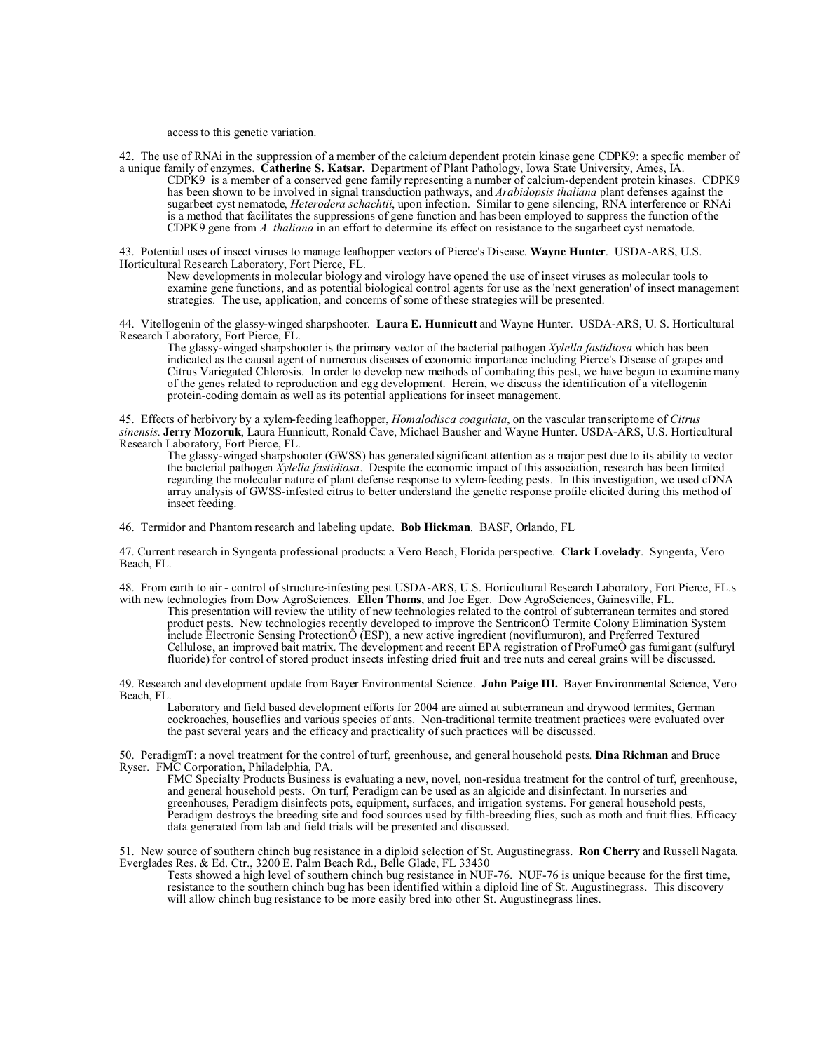access to this genetic variation.

42. The use of RNAi in the suppression of a member of the calcium dependent protein kinase gene CDPK9: a specfic member of a unique family of enzymes. **Catherine S. Katsar.** Department of Plant Pathology, Iowa State University, Ames, IA.

CDPK9 is a member of a conserved gene family representing a number of calcium-dependent protein kinases. CDPK9 has been shown to be involved in signal transduction pathways, and *Arabidopsis thaliana* plant defenses against the sugarbeet cyst nematode, *Heterodera schachtii*, upon infection. Similar to gene silencing, RNA interference or RNAi is a method that facilitates the suppressions of gene function and has been employed to suppress the function of the CDPK9 gene from *A. thaliana* in an effort to determine its effect on resistance to the sugarbeet cyst nematode.

43. Potential uses of insect viruses to manage leafhopper vectors of Pierce's Disease. **Wayne Hunter**. USDA-ARS, U.S. Horticultural Research Laboratory, Fort Pierce, FL.

New developments in molecular biology and virology have opened the use of insect viruses as molecular tools to examine gene functions, and as potential biological control agents for use as the 'next generation' of insect management strategies. The use, application, and concerns of some of these strategies will be presented.

44. Vitellogenin of the glassy-winged sharpshooter. **Laura E. Hunnicutt** and Wayne Hunter. USDA-ARS, U. S. Horticultural Research Laboratory, Fort Pierce, FL.

The glassy-winged sharpshooter is the primary vector of the bacterial pathogen *Xylella fastidiosa* which has been indicated as the causal agent of numerous diseases of economic importance including Pierce's Disease of grapes and Citrus Variegated Chlorosis. In order to develop new methods of combating this pest, we have begun to examine many of the genes related to reproduction and egg development. Herein, we discuss the identification of a vitellogenin protein-coding domain as well as its potential applications for insect management.

45. Effects of herbivory by a xylem-feeding leafhopper, *Homalodisca coagulata*, on the vascular transcriptome of *Citrus sinensis*. **Jerry Mozoruk**, Laura Hunnicutt, Ronald Cave, Michael Bausher and Wayne Hunter. USDA-ARS, U.S. Horticultural Research Laboratory, Fort Pierce, FL.

The glassy-winged sharpshooter (GWSS) has generated significant attention as a major pest due to its ability to vector the bacterial pathogen *Xylella fastidiosa*. Despite the economic impact of this association, research has been limited regarding the molecular nature of plant defense response to xylem-feeding pests. In this investigation, we used cDNA array analysis of GWSS-infested citrus to better understand the genetic response profile elicited during this method of insect feeding.

46. Termidor and Phantom research and labeling update. **Bob Hickman**. BASF, Orlando, FL

47. Current research in Syngenta professional products: a Vero Beach, Florida perspective. **Clark Lovelady**. Syngenta, Vero Beach, FL.

48. From earth to air - control of structure-infesting pest USDA-ARS, U.S. Horticultural Research Laboratory, Fort Pierce, FL.s with new technologies from Dow AgroSciences. **Ellen Thoms**, and Joe Eger. Dow AgroSciences, Gainesville, FL.

This presentation will review the utility of new technologies related to the control of subterranean termites and stored product pests. New technologies recently developed to improve the SentriconÒ Termite Colony Elimination System include Electronic Sensing ProtectionÔ (ESP), a new active ingredient (noviflumuron), and Preferred Textured Cellulose, an improved bait matrix. The development and recent EPA registration of ProFumeÒ gas fumigant (sulfuryl fluoride) for control of stored product insects infesting dried fruit and tree nuts and cereal grains will be discussed.

49. Research and development update from Bayer Environmental Science. **John Paige III.** Bayer Environmental Science, Vero Beach, FL.

Laboratory and field based development efforts for 2004 are aimed at subterranean and drywood termites, German cockroaches, houseflies and various species of ants. Non-traditional termite treatment practices were evaluated over the past several years and the efficacy and practicality of such practices will be discussed.

50. PeradigmT: a novel treatment for the control of turf, greenhouse, and general household pests. **Dina Richman** and Bruce Ryser. FMC Corporation, Philadelphia, PA.

FMC Specialty Products Business is evaluating a new, novel, non-residua treatment for the control of turf, greenhouse, and general household pests. On turf, Peradigm can be used as an algicide and disinfectant. In nurseries and greenhouses, Peradigm disinfects pots, equipment, surfaces, and irrigation systems. For general household pests, Peradigm destroys the breeding site and food sources used by filth-breeding flies, such as moth and fruit flies. Efficacy data generated from lab and field trials will be presented and discussed.

51. New source of southern chinch bug resistance in a diploid selection of St. Augustinegrass. **Ron Cherry** and Russell Nagata. Everglades Res. & Ed. Ctr., 3200 E. Palm Beach Rd., Belle Glade, FL 33430

Tests showed a high level of southern chinch bug resistance in NUF-76. NUF-76 is unique because for the first time, resistance to the southern chinch bug has been identified within a diploid line of St. Augustinegrass. This discovery will allow chinch bug resistance to be more easily bred into other St. Augustinegrass lines.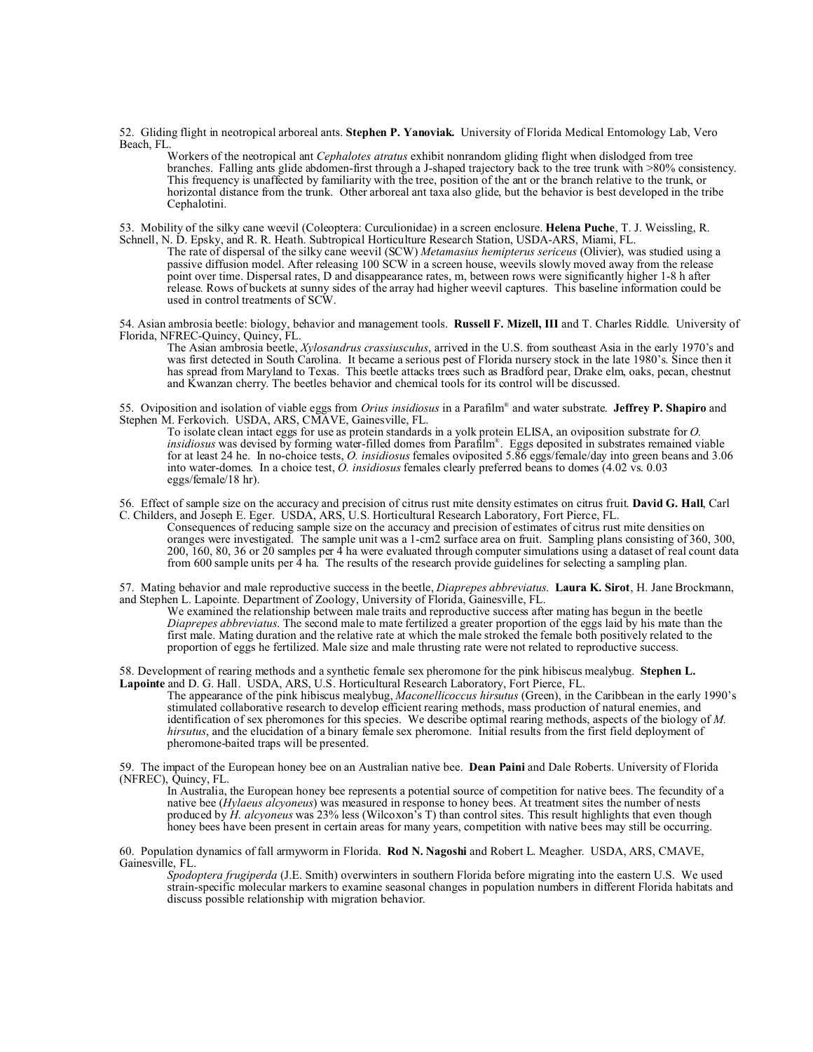52. Gliding flight in neotropical arboreal ants. **Stephen P. Yanoviak.** University of Florida Medical Entomology Lab, Vero Beach, FL.

Workers of the neotropical ant *Cephalotes atratus* exhibit nonrandom gliding flight when dislodged from tree branches. Falling ants glide abdomen-first through a J-shaped trajectory back to the tree trunk with >80% consistency. This frequency is unaffected by familiarity with the tree, position of the ant or the branch relative to the trunk, or horizontal distance from the trunk. Other arboreal ant taxa also glide, but the behavior is best developed in the tribe Cephalotini.

53. Mobility of the silky cane weevil (Coleoptera: Curculionidae) in a screen enclosure. **Helena Puche**, T. J. Weissling, R. Schnell, N. D. Epsky, and R. R. Heath. Subtropical Horticulture Research Station, USDA-ARS, Miami, FL.

The rate of dispersal of the silky cane weevil (SCW) *Metamasius hemipterus sericeus* (Olivier), was studied using a passive diffusion model. After releasing 100 SCW in a screen house, weevils slowly moved away from the release point over time. Dispersal rates, D and disappearance rates, m, between rows were significantly higher 1-8 h after release. Rows of buckets at sunny sides of the array had higher weevil captures. This baseline information could be used in control treatments of SCW.

54. Asian ambrosia beetle: biology, behavior and management tools. **Russell F. Mizell, III** and T. Charles Riddle. University of Florida, NFREC-Quincy, Quincy, FL.

The Asian ambrosia beetle, *Xylosandrus crassiusculus*, arrived in the U.S. from southeast Asia in the early 1970's and was first detected in South Carolina. It became a serious pest of Florida nursery stock in the late 1980's. Since then it has spread from Maryland to Texas. This beetle attacks trees such as Bradford pear, Drake elm, oaks, pecan, chestnut and Kwanzan cherry. The beetles behavior and chemical tools for its control will be discussed.

55. Oviposition and isolation of viable eggs from *Orius insidiosus* in a Parafilm® and water substrate. **Jeffrey P. Shapiro** and Stephen M. Ferkovich. USDA, ARS, CMAVE, Gainesville, FL.

To isolate clean intact eggs for use as protein standards in a yolk protein ELISA, an oviposition substrate for *O. insidiosus* was devised by forming water-filled domes from Parafilm® . Eggs deposited in substrates remained viable for at least 24 he. In no-choice tests, *O. insidiosus* females oviposited 5.86 eggs/female/day into green beans and 3.06 into water-domes. In a choice test, *O. insidiosus* females clearly preferred beans to domes (4.02 vs. 0.03 eggs/female/18 hr).

56. Effect of sample size on the accuracy and precision of citrus rust mite density estimates on citrus fruit. **David G. Hall**, Carl C. Childers, and Joseph E. Eger. USDA, ARS, U.S. Horticultural Research Laboratory, Fort Pierce, FL.

Consequences of reducing sample size on the accuracy and precision of estimates of citrus rust mite densities on oranges were investigated. The sample unit was a 1-cm2 surface area on fruit. Sampling plans consisting of 360, 300, 200, 160, 80, 36 or 20 samples per 4 ha were evaluated through computer simulations using a dataset of real count data from 600 sample units per 4 ha. The results of the research provide guidelines for selecting a sampling plan.

57. Mating behavior and male reproductive success in the beetle, *Diaprepes abbreviatus*. **Laura K. Sirot**, H. Jane Brockmann, and Stephen L. Lapointe. Department of Zoology, University of Florida, Gainesville, FL.

We examined the relationship between male traits and reproductive success after mating has begun in the beetle *Diaprepes abbreviatus*. The second male to mate fertilized a greater proportion of the eggs laid by his mate than the first male. Mating duration and the relative rate at which the male stroked the female both positively related to the proportion of eggs he fertilized. Male size and male thrusting rate were not related to reproductive success.

58. Development of rearing methods and a synthetic female sex pheromone for the pink hibiscus mealybug. **Stephen L. Lapointe** and D. G. Hall. USDA, ARS, U.S. Horticultural Research Laboratory, Fort Pierce, FL.

The appearance of the pink hibiscus mealybug, *Maconellicoccus hirsutus* (Green), in the Caribbean in the early 1990's stimulated collaborative research to develop efficient rearing methods, mass production of natural enemies, and identification of sex pheromones for this species. We describe optimal rearing methods, aspects of the biology of *M. hirsutus*, and the elucidation of a binary female sex pheromone. Initial results from the first field deployment of pheromone-baited traps will be presented.

59. The impact of the European honey bee on an Australian native bee. **Dean Paini** and Dale Roberts. University of Florida (NFREC), Quincy, FL.

In Australia, the European honey bee represents a potential source of competition for native bees. The fecundity of a native bee (*Hylaeus alcyoneus*) was measured in response to honey bees. At treatment sites the number of nests produced by *H. alcyoneus* was 23% less (Wilcoxon's T) than control sites. This result highlights that even though honey bees have been present in certain areas for many years, competition with native bees may still be occurring.

60. Population dynamics of fall armyworm in Florida. **Rod N. Nagoshi** and Robert L. Meagher. USDA, ARS, CMAVE, Gainesville, FL.

*Spodoptera frugiperda* (J.E. Smith) overwinters in southern Florida before migrating into the eastern U.S. We used strain-specific molecular markers to examine seasonal changes in population numbers in different Florida habitats and discuss possible relationship with migration behavior.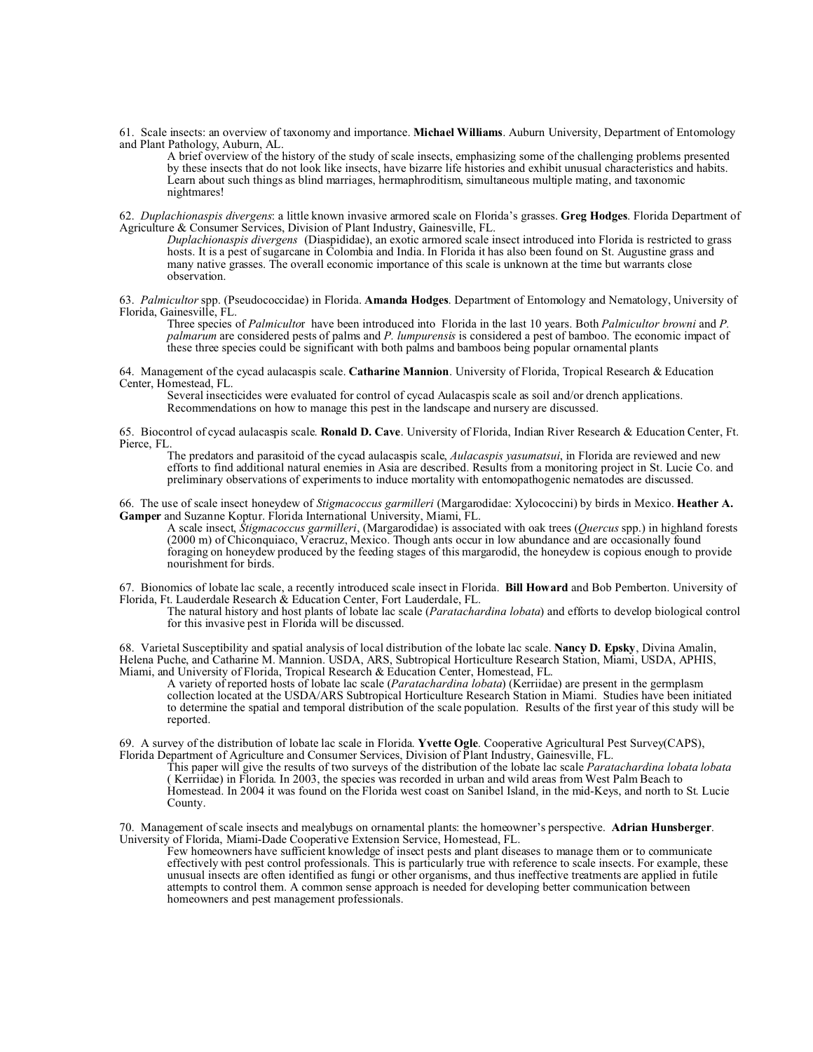61. Scale insects: an overview of taxonomy and importance. **Michael Williams**. Auburn University, Department of Entomology and Plant Pathology, Auburn, AL.

A brief overview of the history of the study of scale insects, emphasizing some of the challenging problems presented by these insects that do not look like insects, have bizarre life histories and exhibit unusual characteristics and habits. Learn about such things as blind marriages, hermaphroditism, simultaneous multiple mating, and taxonomic nightmares!

62. *Duplachionaspis divergens*: a little known invasive armored scale on Florida's grasses. **Greg Hodges**. Florida Department of Agriculture & Consumer Services, Division of Plant Industry, Gainesville, FL.

*Duplachionaspis divergens* (Diaspididae), an exotic armored scale insect introduced into Florida is restricted to grass hosts. It is a pest of sugarcane in Colombia and India. In Florida it has also been found on St. Augustine grass and many native grasses. The overall economic importance of this scale is unknown at the time but warrants close observation.

63. *Palmicultor* spp. (Pseudococcidae) in Florida. **Amanda Hodges**. Department of Entomology and Nematology, University of Florida, Gainesville, FL.

Three species of *Palmiculto*r have been introduced into Florida in the last 10 years. Both *Palmicultor browni* and *P. palmarum* are considered pests of palms and *P. lumpurensis* is considered a pest of bamboo. The economic impact of these three species could be significant with both palms and bamboos being popular ornamental plants

64. Management of the cycad aulacaspis scale. **Catharine Mannion**. University of Florida, Tropical Research & Education Center, Homestead, FL.

Several insecticides were evaluated for control of cycad Aulacaspis scale as soil and/or drench applications. Recommendations on how to manage this pest in the landscape and nursery are discussed.

65. Biocontrol of cycad aulacaspis scale. **Ronald D. Cave**. University of Florida, Indian River Research & Education Center, Ft. Pierce, FL.

The predators and parasitoid of the cycad aulacaspis scale, *Aulacaspis yasumatsui*, in Florida are reviewed and new efforts to find additional natural enemies in Asia are described. Results from a monitoring project in St. Lucie Co. and preliminary observations of experiments to induce mortality with entomopathogenic nematodes are discussed.

66. The use of scale insect honeydew of *Stigmacoccus garmilleri* (Margarodidae: Xylococcini) by birds in Mexico. **Heather A. Gamper** and Suzanne Koptur. Florida International University, Miami, FL.

A scale insect, *Stigmacoccus garmilleri*, (Margarodidae) is associated with oak trees (*Quercus* spp.) in highland forests (2000 m) of Chiconquiaco, Veracruz, Mexico. Though ants occur in low abundance and are occasionally found foraging on honeydew produced by the feeding stages of this margarodid, the honeydew is copious enough to provide nourishment for birds.

67. Bionomics of lobate lac scale, a recently introduced scale insect in Florida. **Bill Howard** and Bob Pemberton. University of Florida, Ft. Lauderdale Research & Education Center, Fort Lauderdale, FL.

The natural history and host plants of lobate lac scale (*Paratachardina lobata*) and efforts to develop biological control for this invasive pest in Florida will be discussed.

68. Varietal Susceptibility and spatial analysis of local distribution of the lobate lac scale. **Nancy D. Epsky**, Divina Amalin, Helena Puche, and Catharine M. Mannion. USDA, ARS, Subtropical Horticulture Research Station, Miami, USDA, APHIS, Miami, and University of Florida, Tropical Research & Education Center, Homestead, FL.

A variety of reported hosts of lobate lac scale (*Paratachardina lobata*) (Kerriidae) are present in the germplasm collection located at the USDA/ARS Subtropical Horticulture Research Station in Miami. Studies have been initiated to determine the spatial and temporal distribution of the scale population. Results of the first year of this study will be reported.

69. A survey of the distribution of lobate lac scale in Florida. **Yvette Ogle**. Cooperative Agricultural Pest Survey(CAPS), Florida Department of Agriculture and Consumer Services, Division of Plant Industry, Gainesville, FL.

This paper will give the results of two surveys of the distribution of the lobate lac scale *Paratachardina lobata lobata* ( Kerriidae) in Florida. In 2003, the species was recorded in urban and wild areas from West Palm Beach to Homestead. In 2004 it was found on the Florida west coast on Sanibel Island, in the mid-Keys, and north to St. Lucie County.

70. Management of scale insects and mealybugs on ornamental plants: the homeowner's perspective. **Adrian Hunsberger**. University of Florida, Miami-Dade Cooperative Extension Service, Homestead, FL.

Few homeowners have sufficient knowledge of insect pests and plant diseases to manage them or to communicate effectively with pest control professionals. This is particularly true with reference to scale insects. For example, these unusual insects are often identified as fungi or other organisms, and thus ineffective treatments are applied in futile attempts to control them. A common sense approach is needed for developing better communication between homeowners and pest management professionals.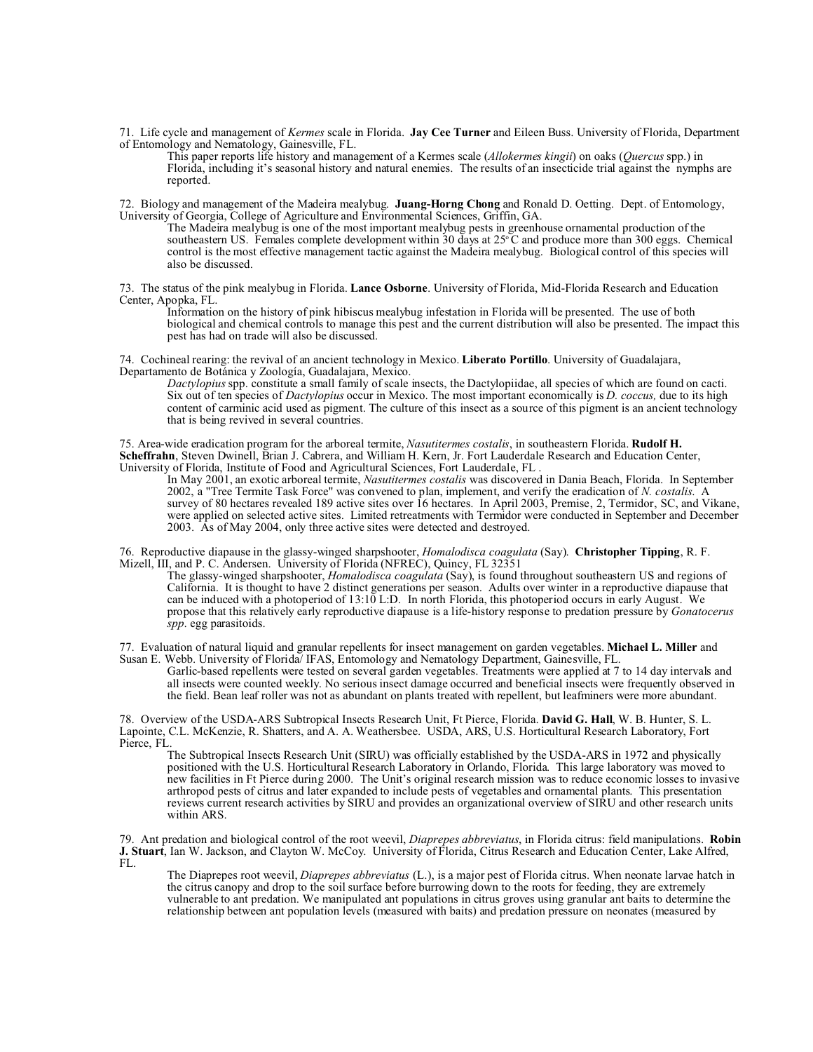71. Life cycle and management of *Kermes* scale in Florida. **Jay Cee Turner** and Eileen Buss. University of Florida, Department of Entomology and Nematology, Gainesville, FL.

This paper reports life history and management of a Kermes scale (*Allokermes kingii*) on oaks (*Quercus* spp.) in Florida, including it's seasonal history and natural enemies. The results of an insecticide trial against the nymphs are reported.

72. Biology and management of the Madeira mealybug. **Juang-Horng Chong** and Ronald D. Oetting. Dept. of Entomology, University of Georgia, College of Agriculture and Environmental Sciences, Griffin, GA.

The Madeira mealybug is one of the most important mealybug pests in greenhouse ornamental production of the southeastern US. Females complete development within 30 days at 25<sup>o</sup>C and produce more than 300 eggs. Chemical control is the most effective management tactic against the Madeira mealybug. Biological control of this species will also be discussed.

73. The status of the pink mealybug in Florida. **Lance Osborne**. University of Florida, Mid-Florida Research and Education Center, Apopka, FL.

Information on the history of pink hibiscus mealybug infestation in Florida will be presented. The use of both biological and chemical controls to manage this pest and the current distribution will also be presented. The impact this pest has had on trade will also be discussed.

74. Cochineal rearing: the revival of an ancient technology in Mexico. **Liberato Portillo**. University of Guadalajara, Departamento de Botánica y Zoología, Guadalajara, Mexico.

*Dactylopius* spp. constitute a small family of scale insects, the Dactylopiidae, all species of which are found on cacti. Six out of ten species of *Dactylopius* occur in Mexico. The most important economically is *D. coccus,* due to its high content of carminic acid used as pigment. The culture of this insect as a source of this pigment is an ancient technology that is being revived in several countries.

75. Area-wide eradication program for the arboreal termite, *Nasutitermes costalis*, in southeastern Florida. **Rudolf H. Scheffrahn**, Steven Dwinell, Brian J. Cabrera, and William H. Kern, Jr. Fort Lauderdale Research and Education Center, University of Florida, Institute of Food and Agricultural Sciences, Fort Lauderdale, FL .

In May 2001, an exotic arboreal termite, *Nasutitermes costalis* was discovered in Dania Beach, Florida. In September 2002, a "Tree Termite Task Force" was convened to plan, implement, and verify the eradication of *N. costalis*. A survey of 80 hectares revealed 189 active sites over  $16$  hectares. In April 2003, Premise, 2, Termidor, SC, and Vikane, were applied on selected active sites. Limited retreatments with Termidor were conducted in September and December 2003. As of May 2004, only three active sites were detected and destroyed.

76. Reproductive diapause in the glassy-winged sharpshooter, *Homalodisca coagulata* (Say). **Christopher Tipping**, R. F. Mizell, III, and P. C. Andersen. University of Florida (NFREC), Quincy, FL 32351

The glassy-winged sharpshooter, *Homalodisca coagulata* (Say), is found throughout southeastern US and regions of California. It is thought to have 2 distinct generations per season. Adults over winter in a reproductive diapause that can be induced with a photoperiod of 13:10 L:D. In north Florida, this photoperiod occurs in early August. We propose that this relatively early reproductive diapause is a life-history response to predation pressure by *Gonatocerus spp*. egg parasitoids.

77. Evaluation of natural liquid and granular repellents for insect management on garden vegetables. **Michael L. Miller** and Susan E. Webb. University of Florida/ IFAS, Entomology and Nematology Department, Gainesville, FL.

Garlic-based repellents were tested on several garden vegetables. Treatments were applied at 7 to 14 day intervals and all insects were counted weekly. No serious insect damage occurred and beneficial insects were frequently observed in the field. Bean leaf roller was not as abundant on plants treated with repellent, but leafminers were more abundant.

78. Overview of the USDA-ARS Subtropical Insects Research Unit, Ft Pierce, Florida. **David G. Hall**, W. B. Hunter, S. L. Lapointe, C.L. McKenzie, R. Shatters, and A. A. Weathersbee. USDA, ARS, U.S. Horticultural Research Laboratory, Fort Pierce, FL.

The Subtropical Insects Research Unit (SIRU) was officially established by the USDA-ARS in 1972 and physically positioned with the U.S. Horticultural Research Laboratory in Orlando, Florida. This large laboratory was moved to new facilities in Ft Pierce during 2000. The Unit's original research mission was to reduce economic losses to invasive arthropod pests of citrus and later expanded to include pests of vegetables and ornamental plants. This presentation reviews current research activities by SIRU and provides an organizational overview of SIRU and other research units within ARS.

79. Ant predation and biological control of the root weevil, *Diaprepes abbreviatus*, in Florida citrus: field manipulations. **Robin J. Stuart**, Ian W. Jackson, and Clayton W. McCoy. University of Florida, Citrus Research and Education Center, Lake Alfred, FL.

The Diaprepes root weevil, *Diaprepes abbreviatus* (L.), is a major pest of Florida citrus. When neonate larvae hatch in the citrus canopy and drop to the soil surface before burrowing down to the roots for feeding, they are extremely vulnerable to ant predation. We manipulated ant populations in citrus groves using granular ant baits to determine the relationship between ant population levels (measured with baits) and predation pressure on neonates (measured by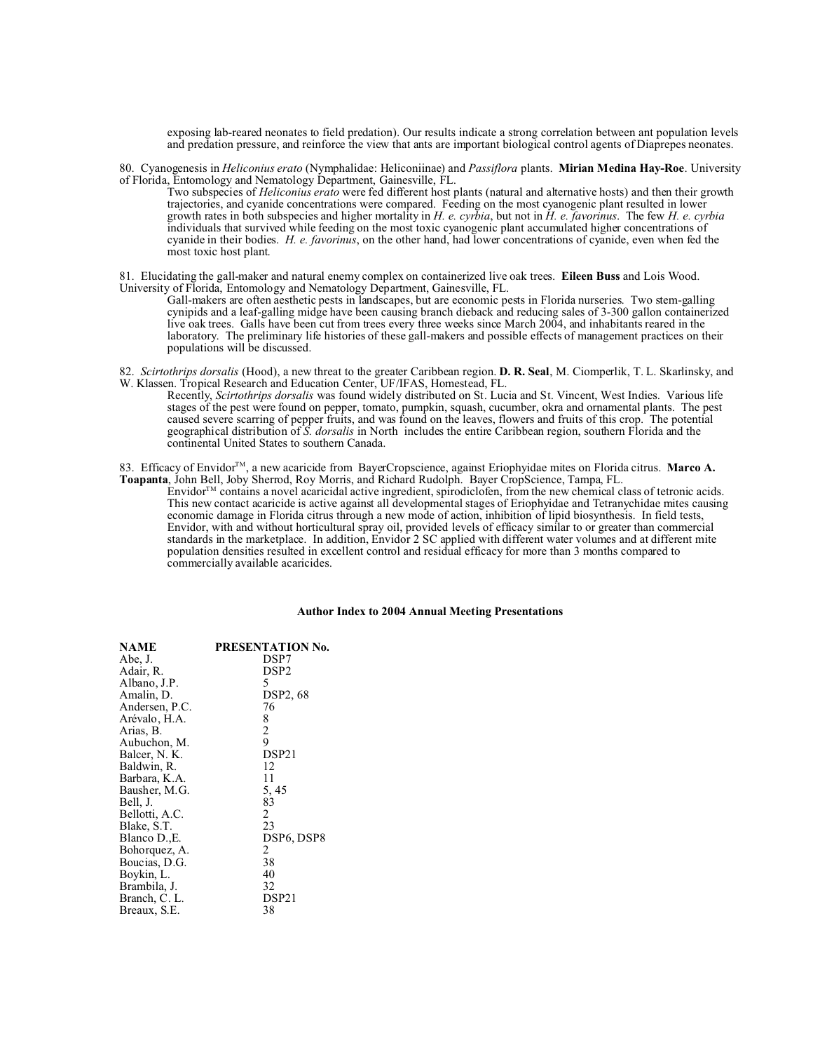exposing lab-reared neonates to field predation). Our results indicate a strong correlation between ant population levels and predation pressure, and reinforce the view that ants are important biological control agents of Diaprepes neonates.

80. Cyanogenesis in *Heliconius erato* (Nymphalidae: Heliconiinae) and *Passiflora* plants. **Mirian Medina Hay-Roe**. University of Florida, Entomology and Nematology Department, Gainesville, FL.

Two subspecies of *Heliconius erato* were fed different host plants (natural and alternative hosts) and then their growth trajectories, and cyanide concentrations were compared. Feeding on the most cyanogenic plant resulted in lower growth rates in both subspecies and higher mortality in *H. e. cyrbia*, but not in *H. e. favorinus*. The few *H. e. cyrbia* individuals that survived while feeding on the most toxic cyanogenic plant accumulated higher concentrations of cyanide in their bodies. *H. e. favorinus*, on the other hand, had lower concentrations of cyanide, even when fed the most toxic host plant.

81. Elucidating the gall-maker and natural enemy complex on containerized live oak trees. **Eileen Buss** and Lois Wood. University of Florida, Entomology and Nematology Department, Gainesville, FL.

Gall-makers are often aesthetic pests in landscapes, but are economic pests in Florida nurseries. Two stem-galling cynipids and a leaf-galling midge have been causing branch dieback and reducing sales of 3-300 gallon containerized live oak trees. Galls have been cut from trees every three weeks since March 2004, and inhabitants reared in the laboratory. The preliminary life histories of these gall-makers and possible effects of management practices on their populations will be discussed.

- 82. *Scirtothrips dorsalis* (Hood), a new threat to the greater Caribbean region. **D. R. Seal**, M. Ciomperlik, T. L. Skarlinsky, and W. Klassen. Tropical Research and Education Center, UF/IFAS, Homestead, FL.
	- Recently, *Scirtothrips dorsalis* was found widely distributed on St. Lucia and St. Vincent, West Indies. Various life stages of the pest were found on pepper, tomato, pumpkin, squash, cucumber, okra and ornamental plants. The pest caused severe scarring of pepper fruits, and was found on the leaves, flowers and fruits of this crop. The potential geographical distribution of *S. dorsalis* in North includes the entire Caribbean region, southern Florida and the continental United States to southern Canada.

83. Efficacy of Envidor<sup>TM</sup>, a new acaricide from BayerCropscience, against Eriophyidae mites on Florida citrus. Marco A. **Toapanta**, John Bell, Joby Sherrod, Roy Morris, and Richard Rudolph. Bayer CropScience, Tampa, FL.

 $E$ nvidor<sup> $TM$ </sup> contains a novel acaricidal active ingredient, spirodiclofen, from the new chemical class of tetronic acids. This new contact acaricide is active against all developmental stages of Eriophyidae and Tetranychidae mites causing economic damage in Florida citrus through a new mode of action, inhibition of lipid biosynthesis. In field tests, Envidor, with and without horticultural spray oil, provided levels of efficacy similar to or greater than commercial standards in the marketplace. In addition, Envidor 2 SC applied with different water volumes and at different mite population densities resulted in excellent control and residual efficacy for more than 3 months compared to commercially available acaricides.

## **Author Index to 2004 Annual Meeting Presentations**

| <b>NAME</b>    | PRESENTATION No.  |
|----------------|-------------------|
| Abe, J.        | DSP7              |
| Adair, R.      | DSP <sub>2</sub>  |
| Albano, J.P.   | 5                 |
| Amalin, D.     | <b>DSP2, 68</b>   |
| Andersen, P.C. | 76                |
| Arévalo, H.A.  | 8                 |
| Arias, B.      | $\overline{c}$    |
| Aubuchon, M.   | $\overline{9}$    |
| Balcer, N. K.  | DSP <sub>21</sub> |
| Baldwin, R.    | 12                |
| Barbara, K.A.  | 11                |
| Bausher, M.G.  | 5, 45             |
| Bell, J.       | 83                |
| Bellotti, A.C. | 2                 |
| Blake, S.T.    | 23                |
| Blanco D., E.  | DSP6, DSP8        |
| Bohorquez, A.  | 2                 |
| Boucias, D.G.  | 38                |
| Boykin, L.     | 40                |
| Brambila, J.   | 32                |
| Branch, C. L.  | DSP <sub>21</sub> |
| Breaux, S.E.   | 38                |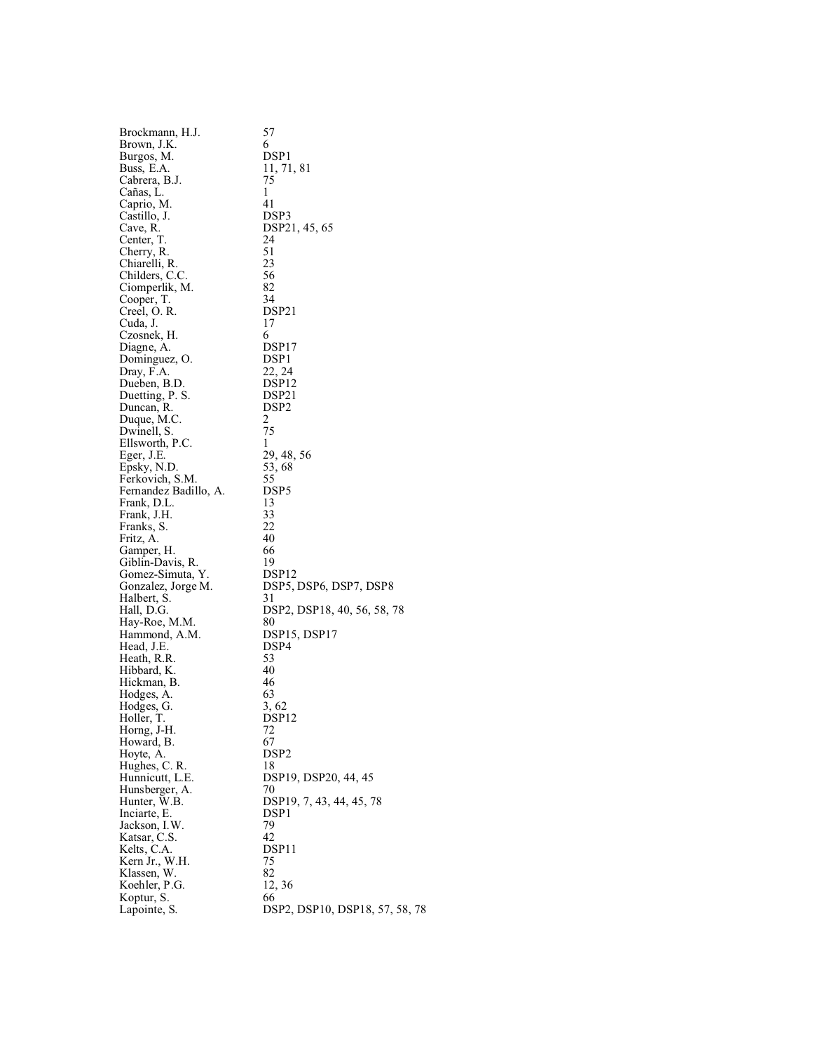| Brockmann, H.J.                | 57                                           |
|--------------------------------|----------------------------------------------|
| Brown, J.K.                    | 6                                            |
| Burgos, M.                     | DSP <sub>1</sub>                             |
| Buss, E.A.                     | 11, 71, 81                                   |
| Cabrera, B.J.                  | 75                                           |
| Cañas, L.                      | 1                                            |
| Caprio, M.                     | 41                                           |
| Castillo, J.                   | DSP3                                         |
| Cave, R.                       | DSP21, 45, 65                                |
| Center, T.                     | 24                                           |
| Cherry, R.                     | 51                                           |
| Chiarelli, R.                  | 23                                           |
| Childers, C.C.                 | 56                                           |
| Ciomperlik, M.                 | 82                                           |
| Cooper, T.                     | 34                                           |
| Creel, O.R.                    | DSP21                                        |
| Cuda, J.                       | 17                                           |
| Czosnek, H.                    | 6                                            |
| Diagne, A.                     | DSP <sub>17</sub>                            |
| Dominguez, O.                  | DSP <sub>1</sub>                             |
| Dray, F.A.                     | 22, 24                                       |
| Dueben, B.D.                   | DSP <sub>12</sub>                            |
| Duetting, P. S.                | DSP21                                        |
| Duncan, R.                     | DSP <sub>2</sub>                             |
| Duque, M.C.                    | 2<br>75                                      |
| Dwinell, S.<br>Ellsworth, P.C. | 1                                            |
|                                | 29, 48, 56                                   |
| Eger, J.E.<br>Epsky, N.D.      | 53, 68                                       |
| Ferkovich, S.M.                | 55                                           |
| Fernandez Badillo, A.          | DSP <sub>5</sub>                             |
| Frank, D.L.                    | 13                                           |
| Frank, J.H.                    | 33                                           |
| Franks, S.                     | 22                                           |
| Fritz, A.                      | 40                                           |
| Gamper, H.                     | 66                                           |
| Giblin-Davis, R.               | 19                                           |
| Gomez-Simuta, Y.               | DSP <sub>12</sub>                            |
| Gonzalez, Jorge M.             | DSP5, DSP6, DSP7, DSP8                       |
| Halbert, S.                    | 31                                           |
| Hall, D.G.                     | DSP2, DSP18, 40, 56, 58, 78                  |
| Hay-Roe, M.M.                  | 80                                           |
| Hammond, A.M.                  | DSP15, DSP17                                 |
| Head, J.E.                     | DSP4                                         |
| Heath, R.R.                    | 53                                           |
| Hibbard, K.                    | 40                                           |
| Hickman, B.                    | 46                                           |
| Hodges, A.                     | 63                                           |
| Hodges, G.                     | 3, 62                                        |
| Holler, T.                     | DSP <sub>12</sub>                            |
| Horng, J-H.                    | 72                                           |
| Howard, B.                     | 67                                           |
| Hoyte, A.                      | DSP <sub>2</sub>                             |
| Hughes, C. R.                  | 18                                           |
| Hunnicutt, L.E.                | DSP19, DSP20, 44, 45                         |
| Hunsberger, A.                 | 70                                           |
| Hunter, W.B.                   | DSP19, 7, 43, 44, 45, 78<br>DSP <sub>1</sub> |
| Inciarte, E.<br>Jackson, I.W.  | 79                                           |
| Katsar, C.S.                   | 42                                           |
| Kelts, C.A.                    | DSP11                                        |
| Kern Jr., W.H.                 | 75                                           |
| Klassen, W.                    | 82                                           |
| Koehler, P.G.                  | 12, 36                                       |
| Koptur, S.                     | 66                                           |
| Lapointe, S.                   | DSP2, DSP10, DSP18, 57, 58, 78               |
|                                |                                              |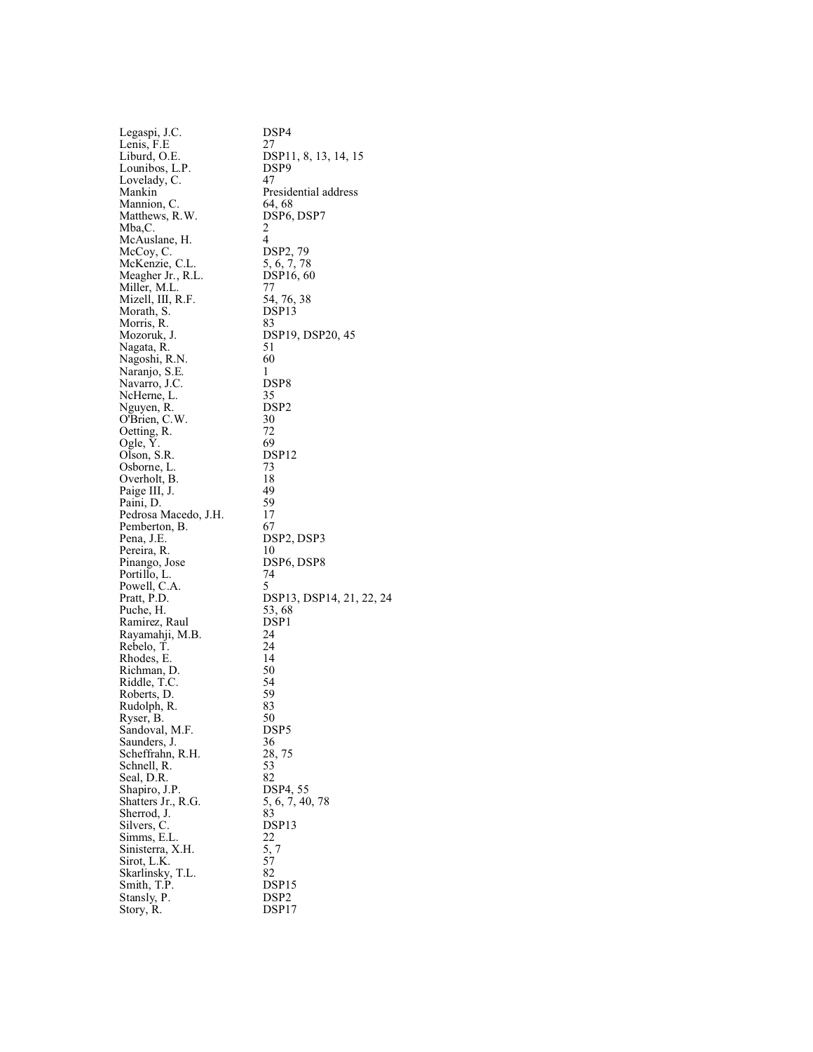| Legaspi, J.C.                 | DSP4                                |
|-------------------------------|-------------------------------------|
| Lenis, F.E                    | 27                                  |
| Liburd, O.E.                  | DSP11, 8, 13, 14, 15                |
| Lounibos, L.P.                | DSP <sub>9</sub>                    |
| Lovelady, C.                  | 47                                  |
| Mankin                        | Presidential address                |
| Mannion, C.                   | 64, 68                              |
| Matthews, R.W.                | DSP <sub>6</sub> , DSP <sub>7</sub> |
| Mba,C.                        | 2                                   |
| McAuslane, H.                 | 4                                   |
| McCoy, C.                     | DSP2, 79                            |
| McKenzie, C.L.                | 5, 6, 7, 78                         |
| Meagher Jr., R.L.             | DSP16, 60                           |
| Miller, M.L.                  | 77                                  |
| Mizell, III, R.F.             | 54, 76, 38                          |
| Morath, S.                    | DSP <sub>13</sub>                   |
| Morris, R.<br>Mozoruk, J.     | 83<br>DSP19, DSP20, 45              |
| Nagata, R.                    | 51                                  |
| Nagoshi, R.N.                 | 60                                  |
| Naranjo, S.E.                 | 1                                   |
| Navarro, J.C.                 | DSP8                                |
| NcHerne, L.                   | 35                                  |
| Nguyen, R.                    | DSP <sub>2</sub>                    |
| O'Brien, C.W.                 | 30                                  |
| Oetting, R.                   | 72                                  |
| Ogle, Y.                      | 69                                  |
| Olson, S.R.                   | DSP <sub>12</sub>                   |
| Osborne, L.                   | 73                                  |
| Overholt, B.                  | 18                                  |
| Paige III, J.                 | 49                                  |
| Paini, D.                     | 59                                  |
| Pedrosa Macedo, J.H.          | 17                                  |
| Pemberton, B.                 | 67                                  |
| Pena, J.E.                    | DSP2, DSP3                          |
| Pereira, R.                   | 10                                  |
| Pinango, Jose                 | DSP <sub>6</sub> , DSP <sub>8</sub> |
| Portillo, L.                  | 74                                  |
| Powell, C.A.                  | 5                                   |
| Pratt, P.D.                   | DSP13, DSP14, 21, 22, 24            |
| Puche, H.                     | 53, 68                              |
| Ramirez, Raul                 | DSP <sub>1</sub><br>24              |
| Rayamahji, M.B.<br>Rebelo, T. | 24                                  |
| Rhodes, E.                    | 14                                  |
| Richman, D.                   | 50                                  |
| Riddle, T.C.                  | 54                                  |
| Roberts, D.                   | 59                                  |
| Rudolph, R.                   | 83                                  |
| Ryser, B.                     | 50                                  |
| Sandoval, M.F.                | DSP5                                |
| Saunders, J.                  | 36                                  |
| Scheffrahn, R.H.              | 28, 75                              |
| Schnell, R.                   | 53                                  |
| Seal, D.R.                    | 82                                  |
| Shapiro, J.P.                 | DSP4, 55                            |
| Shatters Jr., R.G.            | 5, 6, 7, 40, 78                     |
| Sherrod, J.                   | 83                                  |
| Silvers, C.                   | DSP <sub>13</sub>                   |
| Simms, E.L.                   | 22                                  |
| Sinisterra, X.H.              | 5, 7                                |
| Sirot, L.K.                   | 57                                  |
| Skarlinsky, T.L.              | 82                                  |
| Smith, T.P.                   | DSP15<br>DSP <sub>2</sub>           |
| Stansly, P.                   | DSP17                               |
| Story, R.                     |                                     |